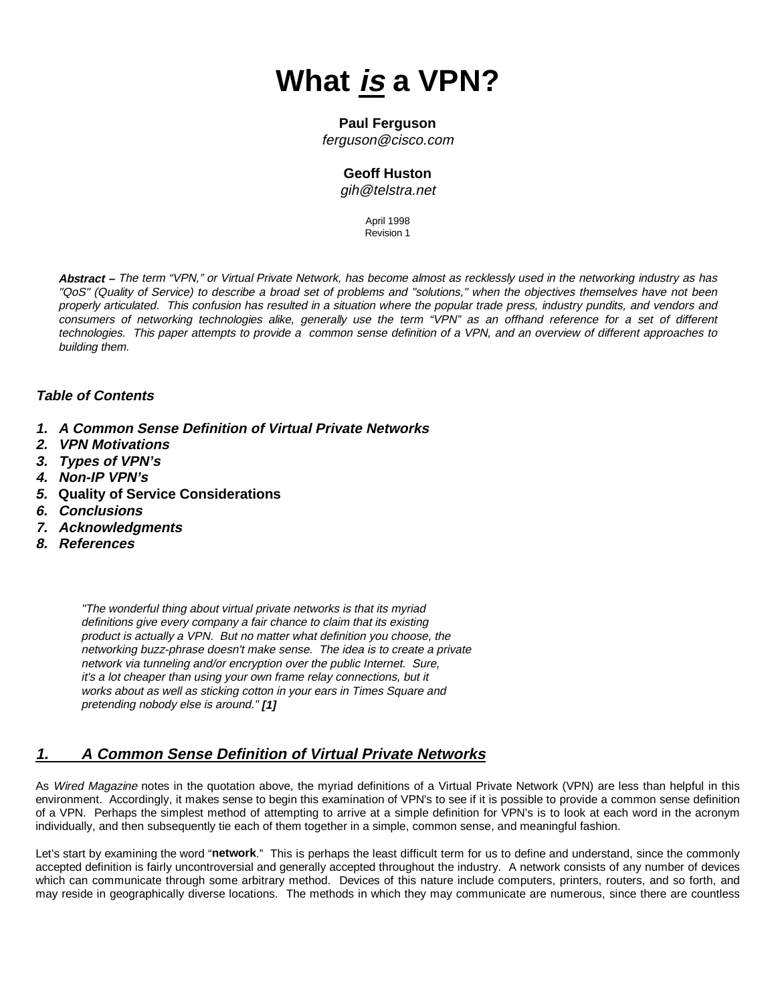# **What is a VPN?**

#### **Paul Ferguson**

<ferguson@cisco.com>

## **Geoff Huston**

[gih@telstra.net](mailto:gih@telsta.net)

April 1998 Revision 1

**Abstract –** The term "VPN," or Virtual Private Network, has become almost as recklessly used in the networking industry as has "QoS" (Quality of Service) to describe a broad set of problems and "solutions," when the objectives themselves have not been properly articulated. This confusion has resulted in a situation where the popular trade press, industry pundits, and vendors and consumers of networking technologies alike, generally use the term "VPN" as an offhand reference for a set of different technologies. This paper attempts to provide a common sense definition of a VPN, and an overview of different approaches to building them.

## **Table of Contents**

- **1. A Common Sense Definition of Virtual Private Networks**
- **2. VPN Motivations**
- **3. Types of VPN's**
- **4. Non-IP VPN's**
- **5. Quality of Service Considerations**
- **6. Conclusions**
- **7. Acknowledgments**
- **8. References**

"The wonderful thing about virtual private networks is that its myriad definitions give every company a fair chance to claim that its existing product is actually a VPN. But no matter what definition you choose, the networking buzz-phrase doesn't make sense. The idea is to create a private network via tunneling and/or encryption over the public Internet. Sure, it's a lot cheaper than using your own frame relay connections, but it works about as well as sticking cotton in your ears in Times Square and pretending nobody else is around." **[1]**

# **1. A Common Sense Definition of Virtual Private Networks**

As Wired Magazine notes in the quotation above, the myriad definitions of a Virtual Private Network (VPN) are less than helpful in this environment. Accordingly, it makes sense to begin this examination of VPN's to see if it is possible to provide a common sense definition of a VPN. Perhaps the simplest method of attempting to arrive at a simple definition for VPN's is to look at each word in the acronym individually, and then subsequently tie each of them together in a simple, common sense, and meaningful fashion.

Let's start by examining the word "**network**." This is perhaps the least difficult term for us to define and understand, since the commonly accepted definition is fairly uncontroversial and generally accepted throughout the industry. A network consists of any number of devices which can communicate through some arbitrary method. Devices of this nature include computers, printers, routers, and so forth, and may reside in geographically diverse locations. The methods in which they may communicate are numerous, since there are countless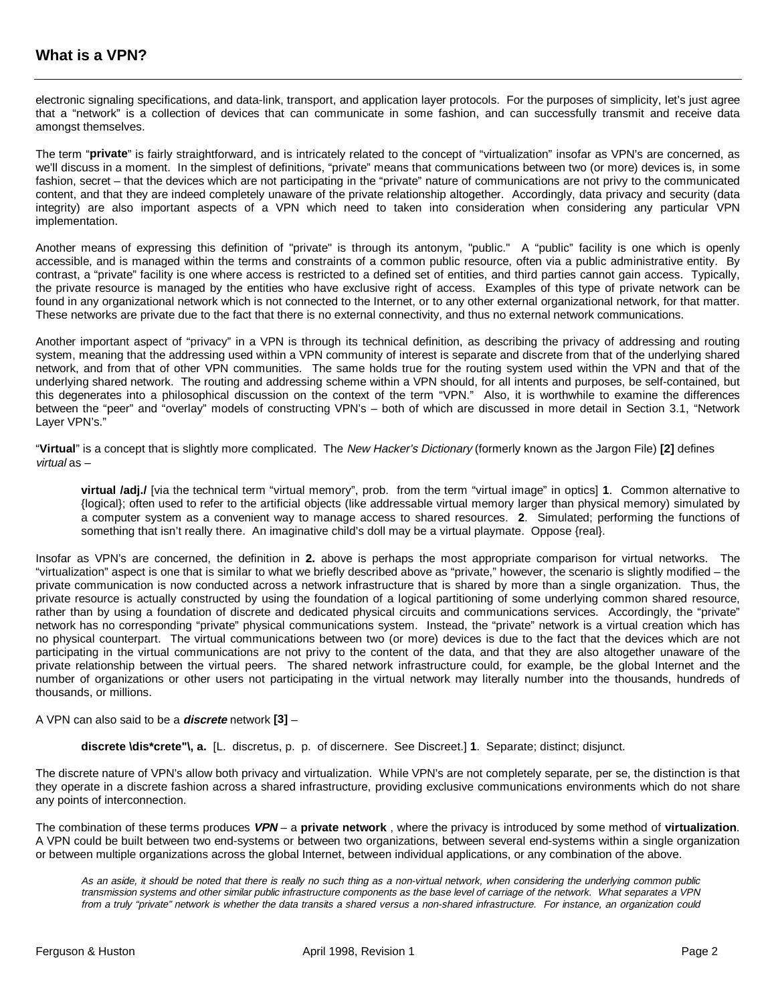electronic signaling specifications, and data-link, transport, and application layer protocols. For the purposes of simplicity, let's just agree that a "network" is a collection of devices that can communicate in some fashion, and can successfully transmit and receive data amongst themselves.

The term "**private**" is fairly straightforward, and is intricately related to the concept of "virtualization" insofar as VPN's are concerned, as we'll discuss in a moment. In the simplest of definitions, "private" means that communications between two (or more) devices is, in some fashion, secret – that the devices which are not participating in the "private" nature of communications are not privy to the communicated content, and that they are indeed completely unaware of the private relationship altogether. Accordingly, data privacy and security (data integrity) are also important aspects of a VPN which need to taken into consideration when considering any particular VPN implementation.

Another means of expressing this definition of "private" is through its antonym, "public." A "public" facility is one which is openly accessible, and is managed within the terms and constraints of a common public resource, often via a public administrative entity. By contrast, a "private" facility is one where access is restricted to a defined set of entities, and third parties cannot gain access. Typically, the private resource is managed by the entities who have exclusive right of access. Examples of this type of private network can be found in any organizational network which is not connected to the Internet, or to any other external organizational network, for that matter. These networks are private due to the fact that there is no external connectivity, and thus no external network communications.

Another important aspect of "privacy" in a VPN is through its technical definition, as describing the privacy of addressing and routing system, meaning that the addressing used within a VPN community of interest is separate and discrete from that of the underlying shared network, and from that of other VPN communities. The same holds true for the routing system used within the VPN and that of the underlying shared network. The routing and addressing scheme within a VPN should, for all intents and purposes, be self-contained, but this degenerates into a philosophical discussion on the context of the term "VPN." Also, it is worthwhile to examine the differences between the "peer" and "overlay" models of constructing VPN's – both of which are discussed in more detail in Section 3.1, "Network Layer VPN's."

"**Virtual**" is a concept that is slightly more complicated. The New Hacker's Dictionary (formerly known as the Jargon File) **[2]** defines virtual as –

**virtual /adj./** [via the technical term "virtual memory", prob. from the term "virtual image" in optics] **1**. Common alternative to {logical}; often used to refer to the artificial objects (like addressable virtual memory larger than physical memory) simulated by a computer system as a convenient way to manage access to shared resources. **2**. Simulated; performing the functions of something that isn't really there. An imaginative child's doll may be a virtual playmate. Oppose {real}.

Insofar as VPN's are concerned, the definition in **2.** above is perhaps the most appropriate comparison for virtual networks. The "virtualization" aspect is one that is similar to what we briefly described above as "private," however, the scenario is slightly modified – the private communication is now conducted across a network infrastructure that is shared by more than a single organization. Thus, the private resource is actually constructed by using the foundation of a logical partitioning of some underlying common shared resource, rather than by using a foundation of discrete and dedicated physical circuits and communications services. Accordingly, the "private" network has no corresponding "private" physical communications system. Instead, the "private" network is a virtual creation which has no physical counterpart. The virtual communications between two (or more) devices is due to the fact that the devices which are not participating in the virtual communications are not privy to the content of the data, and that they are also altogether unaware of the private relationship between the virtual peers. The shared network infrastructure could, for example, be the global Internet and the number of organizations or other users not participating in the virtual network may literally number into the thousands, hundreds of thousands, or millions.

#### A VPN can also said to be a **discrete** network **[3]** –

**discrete \dis\*crete"\, a.** [L. discretus, p. p. of discernere. See Discreet.] **1**. Separate; distinct; disjunct.

The discrete nature of VPN's allow both privacy and virtualization. While VPN's are not completely separate, per se, the distinction is that they operate in a discrete fashion across a shared infrastructure, providing exclusive communications environments which do not share any points of interconnection.

The combination of these terms produces **VPN** – a **private network** , where the privacy is introduced by some method of **virtualization**. A VPN could be built between two end-systems or between two organizations, between several end-systems within a single organization or between multiple organizations across the global Internet, between individual applications, or any combination of the above.

As an aside, it should be noted that there is really no such thing as a non-virtual network, when considering the underlying common public transmission systems and other similar public infrastructure components as the base level of carriage of the network. What separates a VPN from a truly "private" network is whether the data transits a shared versus a non-shared infrastructure. For instance, an organization could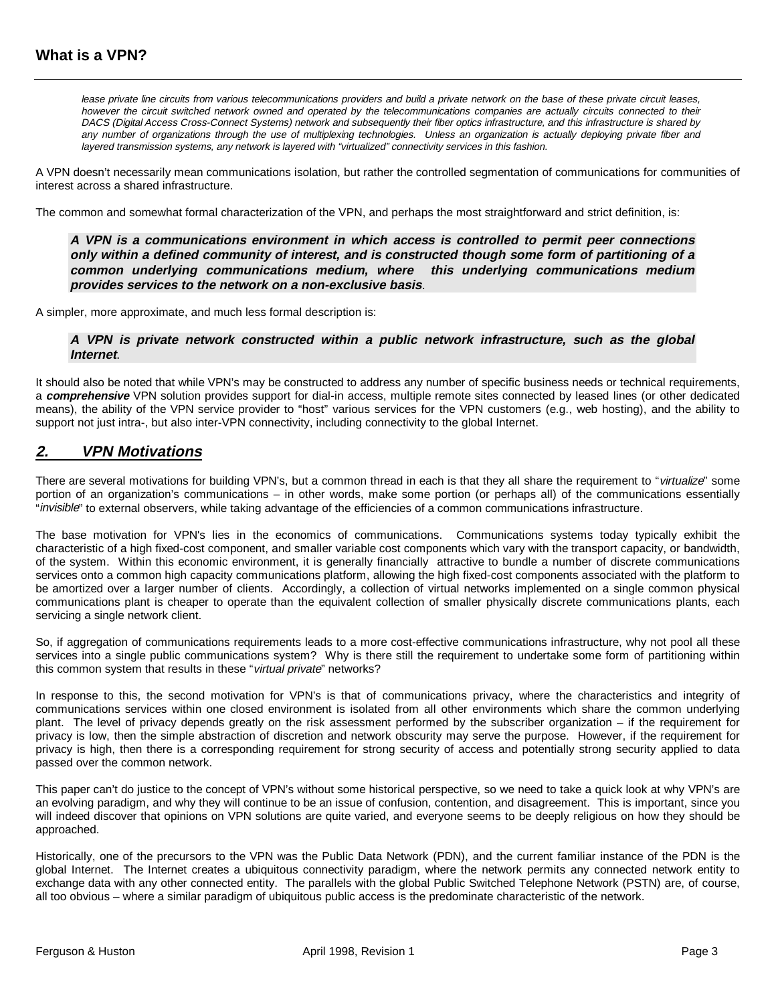lease private line circuits from various telecommunications providers and build a private network on the base of these private circuit leases, however the circuit switched network owned and operated by the telecommunications companies are actually circuits connected to their DACS (Digital Access Cross-Connect Systems) network and subsequently their fiber optics infrastructure, and this infrastructure is shared by any number of organizations through the use of multiplexing technologies. Unless an organization is actually deploying private fiber and layered transmission systems, any network is layered with "virtualized" connectivity services in this fashion.

A VPN doesn't necessarily mean communications isolation, but rather the controlled segmentation of communications for communities of interest across a shared infrastructure.

The common and somewhat formal characterization of the VPN, and perhaps the most straightforward and strict definition, is:

**A VPN is a communications environment in which access is controlled to permit peer connections only within a defined community of interest, and is constructed though some form of partitioning of a common underlying communications medium, where this underlying communications medium provides services to the network on a non-exclusive basis**.

A simpler, more approximate, and much less formal description is:

#### **A VPN is private network constructed within a public network infrastructure, such as the global Internet**.

It should also be noted that while VPN's may be constructed to address any number of specific business needs or technical requirements, a **comprehensive** VPN solution provides support for dial-in access, multiple remote sites connected by leased lines (or other dedicated means), the ability of the VPN service provider to "host" various services for the VPN customers (e.g., web hosting), and the ability to support not just intra-, but also inter-VPN connectivity, including connectivity to the global Internet.

## **2. VPN Motivations**

There are several motivations for building VPN's, but a common thread in each is that they all share the requirement to "virtualize" some portion of an organization's communications – in other words, make some portion (or perhaps all) of the communications essentially "invisible" to external observers, while taking advantage of the efficiencies of a common communications infrastructure.

The base motivation for VPN's lies in the economics of communications. Communications systems today typically exhibit the characteristic of a high fixed-cost component, and smaller variable cost components which vary with the transport capacity, or bandwidth, of the system. Within this economic environment, it is generally financially attractive to bundle a number of discrete communications services onto a common high capacity communications platform, allowing the high fixed-cost components associated with the platform to be amortized over a larger number of clients. Accordingly, a collection of virtual networks implemented on a single common physical communications plant is cheaper to operate than the equivalent collection of smaller physically discrete communications plants, each servicing a single network client.

So, if aggregation of communications requirements leads to a more cost-effective communications infrastructure, why not pool all these services into a single public communications system? Why is there still the requirement to undertake some form of partitioning within this common system that results in these "virtual private" networks?

In response to this, the second motivation for VPN's is that of communications privacy, where the characteristics and integrity of communications services within one closed environment is isolated from all other environments which share the common underlying plant. The level of privacy depends greatly on the risk assessment performed by the subscriber organization – if the requirement for privacy is low, then the simple abstraction of discretion and network obscurity may serve the purpose. However, if the requirement for privacy is high, then there is a corresponding requirement for strong security of access and potentially strong security applied to data passed over the common network.

This paper can't do justice to the concept of VPN's without some historical perspective, so we need to take a quick look at why VPN's are an evolving paradigm, and why they will continue to be an issue of confusion, contention, and disagreement. This is important, since you will indeed discover that opinions on VPN solutions are quite varied, and everyone seems to be deeply religious on how they should be approached.

Historically, one of the precursors to the VPN was the Public Data Network (PDN), and the current familiar instance of the PDN is the global Internet. The Internet creates a ubiquitous connectivity paradigm, where the network permits any connected network entity to exchange data with any other connected entity. The parallels with the global Public Switched Telephone Network (PSTN) are, of course, all too obvious – where a similar paradigm of ubiquitous public access is the predominate characteristic of the network.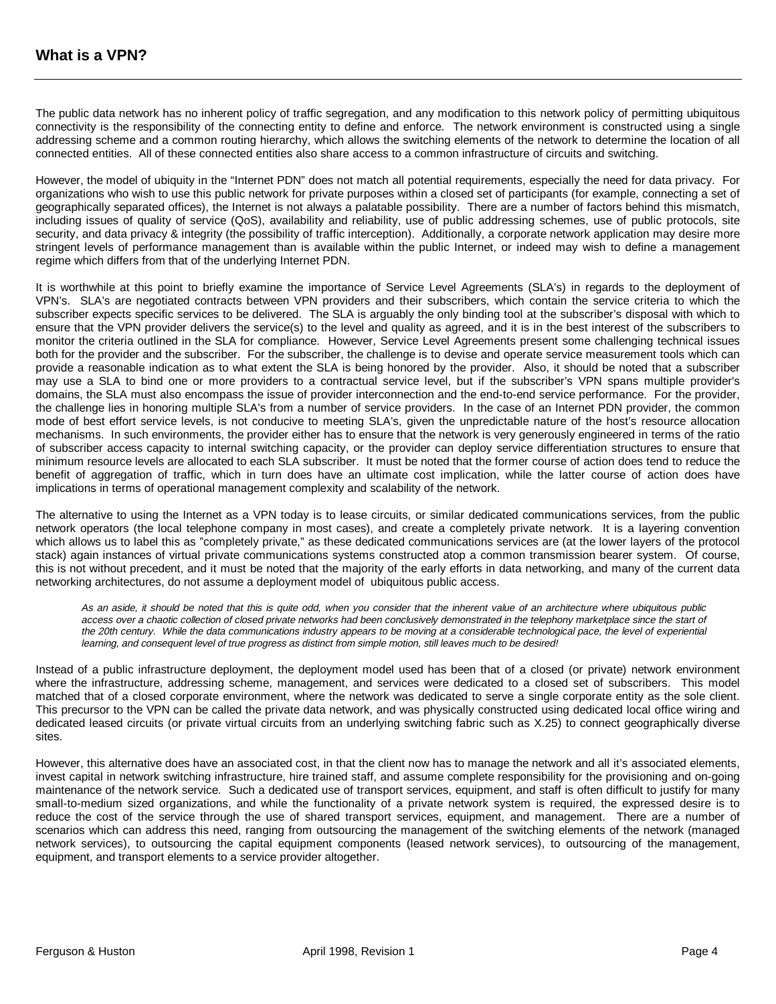The public data network has no inherent policy of traffic segregation, and any modification to this network policy of permitting ubiquitous connectivity is the responsibility of the connecting entity to define and enforce. The network environment is constructed using a single addressing scheme and a common routing hierarchy, which allows the switching elements of the network to determine the location of all connected entities. All of these connected entities also share access to a common infrastructure of circuits and switching.

However, the model of ubiquity in the "Internet PDN" does not match all potential requirements, especially the need for data privacy. For organizations who wish to use this public network for private purposes within a closed set of participants (for example, connecting a set of geographically separated offices), the Internet is not always a palatable possibility. There are a number of factors behind this mismatch, including issues of quality of service (QoS), availability and reliability, use of public addressing schemes, use of public protocols, site security, and data privacy & integrity (the possibility of traffic interception). Additionally, a corporate network application may desire more stringent levels of performance management than is available within the public Internet, or indeed may wish to define a management regime which differs from that of the underlying Internet PDN.

It is worthwhile at this point to briefly examine the importance of Service Level Agreements (SLA's) in regards to the deployment of VPN's. SLA's are negotiated contracts between VPN providers and their subscribers, which contain the service criteria to which the subscriber expects specific services to be delivered. The SLA is arguably the only binding tool at the subscriber's disposal with which to ensure that the VPN provider delivers the service(s) to the level and quality as agreed, and it is in the best interest of the subscribers to monitor the criteria outlined in the SLA for compliance. However, Service Level Agreements present some challenging technical issues both for the provider and the subscriber. For the subscriber, the challenge is to devise and operate service measurement tools which can provide a reasonable indication as to what extent the SLA is being honored by the provider. Also, it should be noted that a subscriber may use a SLA to bind one or more providers to a contractual service level, but if the subscriber's VPN spans multiple provider's domains, the SLA must also encompass the issue of provider interconnection and the end-to-end service performance. For the provider, the challenge lies in honoring multiple SLA's from a number of service providers. In the case of an Internet PDN provider, the common mode of best effort service levels, is not conducive to meeting SLA's, given the unpredictable nature of the host's resource allocation mechanisms. In such environments, the provider either has to ensure that the network is very generously engineered in terms of the ratio of subscriber access capacity to internal switching capacity, or the provider can deploy service differentiation structures to ensure that minimum resource levels are allocated to each SLA subscriber. It must be noted that the former course of action does tend to reduce the benefit of aggregation of traffic, which in turn does have an ultimate cost implication, while the latter course of action does have implications in terms of operational management complexity and scalability of the network.

The alternative to using the Internet as a VPN today is to lease circuits, or similar dedicated communications services, from the public network operators (the local telephone company in most cases), and create a completely private network. It is a layering convention which allows us to label this as "completely private," as these dedicated communications services are (at the lower layers of the protocol stack) again instances of virtual private communications systems constructed atop a common transmission bearer system. Of course, this is not without precedent, and it must be noted that the majority of the early efforts in data networking, and many of the current data networking architectures, do not assume a deployment model of ubiquitous public access.

As an aside, it should be noted that this is quite odd, when you consider that the inherent value of an architecture where ubiquitous public access over a chaotic collection of closed private networks had been conclusively demonstrated in the telephony marketplace since the start of the 20th century. While the data communications industry appears to be moving at a considerable technological pace, the level of experiential learning, and consequent level of true progress as distinct from simple motion, still leaves much to be desired!

Instead of a public infrastructure deployment, the deployment model used has been that of a closed (or private) network environment where the infrastructure, addressing scheme, management, and services were dedicated to a closed set of subscribers. This model matched that of a closed corporate environment, where the network was dedicated to serve a single corporate entity as the sole client. This precursor to the VPN can be called the private data network, and was physically constructed using dedicated local office wiring and dedicated leased circuits (or private virtual circuits from an underlying switching fabric such as X.25) to connect geographically diverse sites.

However, this alternative does have an associated cost, in that the client now has to manage the network and all it's associated elements, invest capital in network switching infrastructure, hire trained staff, and assume complete responsibility for the provisioning and on-going maintenance of the network service. Such a dedicated use of transport services, equipment, and staff is often difficult to justify for many small-to-medium sized organizations, and while the functionality of a private network system is required, the expressed desire is to reduce the cost of the service through the use of shared transport services, equipment, and management. There are a number of scenarios which can address this need, ranging from outsourcing the management of the switching elements of the network (managed network services), to outsourcing the capital equipment components (leased network services), to outsourcing of the management, equipment, and transport elements to a service provider altogether.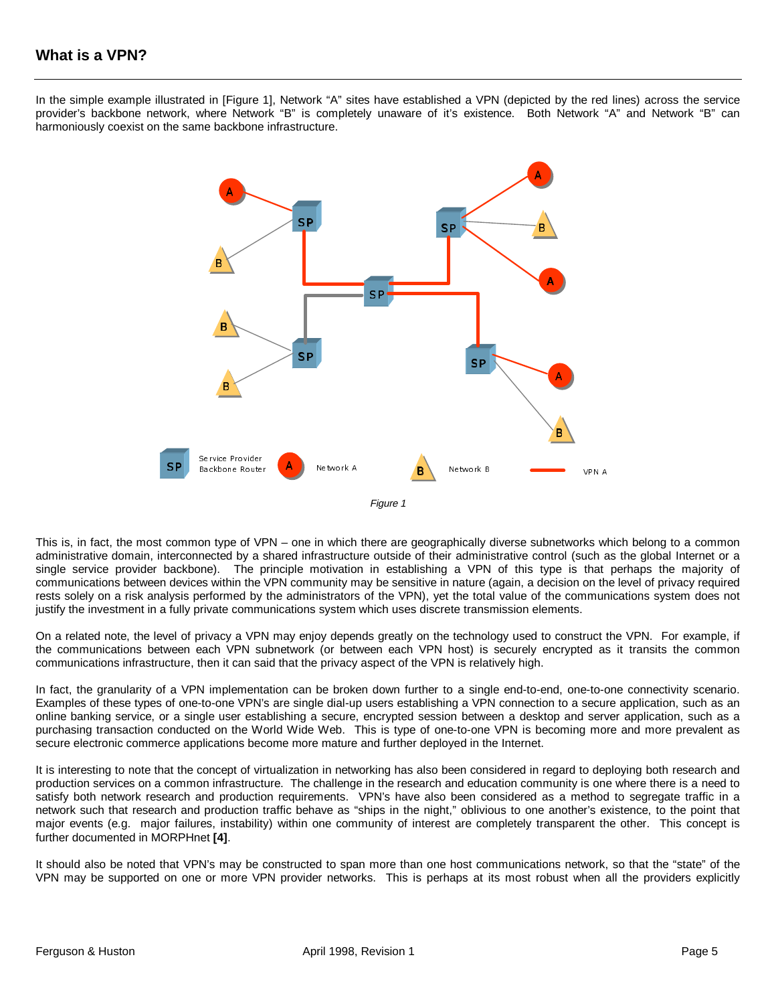In the simple example illustrated in [Figure 1], Network "A" sites have established a VPN (depicted by the red lines) across the service provider's backbone network, where Network "B" is completely unaware of it's existence. Both Network "A" and Network "B" can harmoniously coexist on the same backbone infrastructure.



Figure 1

This is, in fact, the most common type of VPN – one in which there are geographically diverse subnetworks which belong to a common administrative domain, interconnected by a shared infrastructure outside of their administrative control (such as the global Internet or a single service provider backbone). The principle motivation in establishing a VPN of this type is that perhaps the majority of communications between devices within the VPN community may be sensitive in nature (again, a decision on the level of privacy required rests solely on a risk analysis performed by the administrators of the VPN), yet the total value of the communications system does not justify the investment in a fully private communications system which uses discrete transmission elements.

On a related note, the level of privacy a VPN may enjoy depends greatly on the technology used to construct the VPN. For example, if the communications between each VPN subnetwork (or between each VPN host) is securely encrypted as it transits the common communications infrastructure, then it can said that the privacy aspect of the VPN is relatively high.

In fact, the granularity of a VPN implementation can be broken down further to a single end-to-end, one-to-one connectivity scenario. Examples of these types of one-to-one VPN's are single dial-up users establishing a VPN connection to a secure application, such as an online banking service, or a single user establishing a secure, encrypted session between a desktop and server application, such as a purchasing transaction conducted on the World Wide Web. This is type of one-to-one VPN is becoming more and more prevalent as secure electronic commerce applications become more mature and further deployed in the Internet.

It is interesting to note that the concept of virtualization in networking has also been considered in regard to deploying both research and production services on a common infrastructure. The challenge in the research and education community is one where there is a need to satisfy both network research and production requirements. VPN's have also been considered as a method to segregate traffic in a network such that research and production traffic behave as "ships in the night," oblivious to one another's existence, to the point that major events (e.g. major failures, instability) within one community of interest are completely transparent the other. This concept is further documented in MORPHnet **[4]**.

It should also be noted that VPN's may be constructed to span more than one host communications network, so that the "state" of the VPN may be supported on one or more VPN provider networks. This is perhaps at its most robust when all the providers explicitly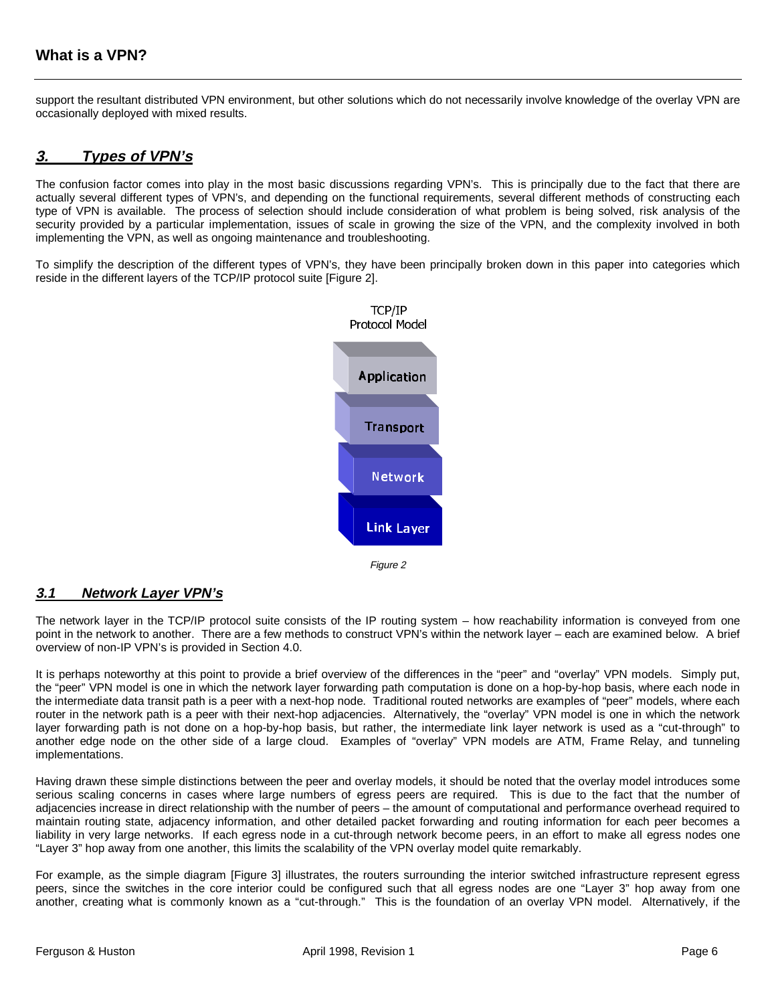support the resultant distributed VPN environment, but other solutions which do not necessarily involve knowledge of the overlay VPN are occasionally deployed with mixed results.

## **3. Types of VPN's**

The confusion factor comes into play in the most basic discussions regarding VPN's. This is principally due to the fact that there are actually several different types of VPN's, and depending on the functional requirements, several different methods of constructing each type of VPN is available. The process of selection should include consideration of what problem is being solved, risk analysis of the security provided by a particular implementation, issues of scale in growing the size of the VPN, and the complexity involved in both implementing the VPN, as well as ongoing maintenance and troubleshooting.

To simplify the description of the different types of VPN's, they have been principally broken down in this paper into categories which reside in the different layers of the TCP/IP protocol suite [Figure 2].



## **3.1 Network Layer VPN's**

The network layer in the TCP/IP protocol suite consists of the IP routing system – how reachability information is conveyed from one point in the network to another. There are a few methods to construct VPN's within the network layer – each are examined below. A brief overview of non-IP VPN's is provided in Section 4.0.

It is perhaps noteworthy at this point to provide a brief overview of the differences in the "peer" and "overlay" VPN models. Simply put, the "peer" VPN model is one in which the network layer forwarding path computation is done on a hop-by-hop basis, where each node in the intermediate data transit path is a peer with a next-hop node. Traditional routed networks are examples of "peer" models, where each router in the network path is a peer with their next-hop adjacencies. Alternatively, the "overlay" VPN model is one in which the network layer forwarding path is not done on a hop-by-hop basis, but rather, the intermediate link layer network is used as a "cut-through" to another edge node on the other side of a large cloud. Examples of "overlay" VPN models are ATM, Frame Relay, and tunneling implementations.

Having drawn these simple distinctions between the peer and overlay models, it should be noted that the overlay model introduces some serious scaling concerns in cases where large numbers of egress peers are required. This is due to the fact that the number of adjacencies increase in direct relationship with the number of peers – the amount of computational and performance overhead required to maintain routing state, adjacency information, and other detailed packet forwarding and routing information for each peer becomes a liability in very large networks. If each egress node in a cut-through network become peers, in an effort to make all egress nodes one "Layer 3" hop away from one another, this limits the scalability of the VPN overlay model quite remarkably.

For example, as the simple diagram [Figure 3] illustrates, the routers surrounding the interior switched infrastructure represent egress peers, since the switches in the core interior could be configured such that all egress nodes are one "Layer 3" hop away from one another, creating what is commonly known as a "cut-through." This is the foundation of an overlay VPN model. Alternatively, if the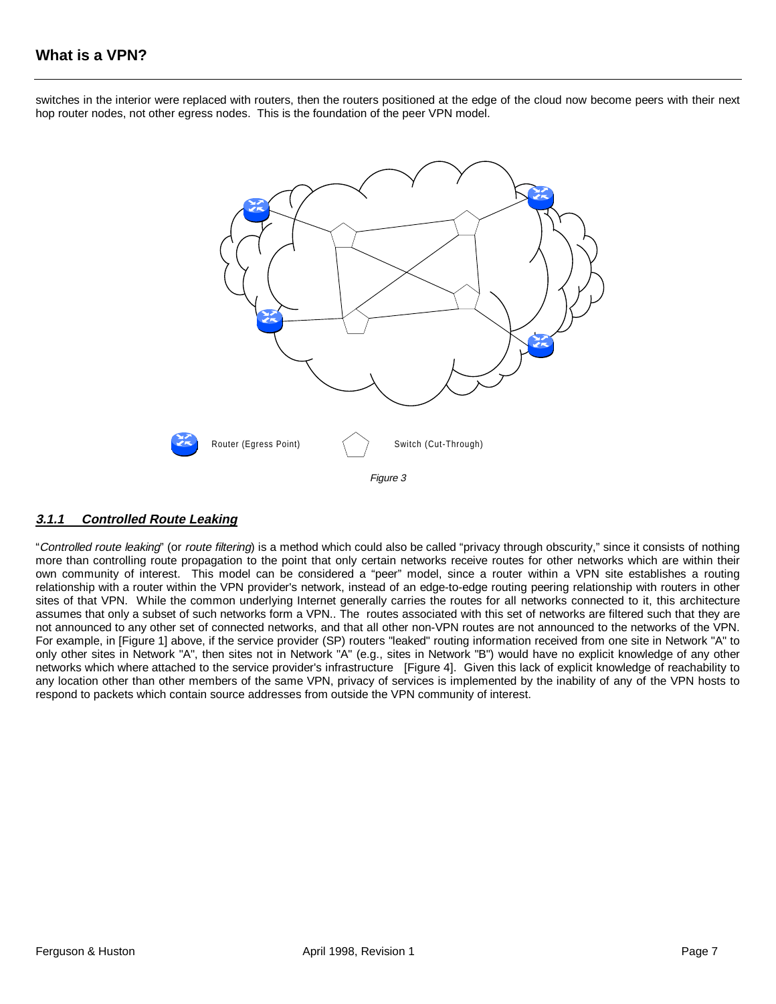# **What is a VPN?**

switches in the interior were replaced with routers, then the routers positioned at the edge of the cloud now become peers with their next hop router nodes, not other egress nodes. This is the foundation of the peer VPN model.



#### **3.1.1 Controlled Route Leaking**

"Controlled route leaking" (or route filtering) is a method which could also be called "privacy through obscurity," since it consists of nothing more than controlling route propagation to the point that only certain networks receive routes for other networks which are within their own community of interest. This model can be considered a "peer" model, since a router within a VPN site establishes a routing relationship with a router within the VPN provider's network, instead of an edge-to-edge routing peering relationship with routers in other sites of that VPN. While the common underlying Internet generally carries the routes for all networks connected to it, this architecture assumes that only a subset of such networks form a VPN.. The routes associated with this set of networks are filtered such that they are not announced to any other set of connected networks, and that all other non-VPN routes are not announced to the networks of the VPN. For example, in [Figure 1] above, if the service provider (SP) routers "leaked" routing information received from one site in Network "A" to only other sites in Network "A", then sites not in Network "A" (e.g., sites in Network "B") would have no explicit knowledge of any other networks which where attached to the service provider's infrastructure [Figure 4]. Given this lack of explicit knowledge of reachability to any location other than other members of the same VPN, privacy of services is implemented by the inability of any of the VPN hosts to respond to packets which contain source addresses from outside the VPN community of interest.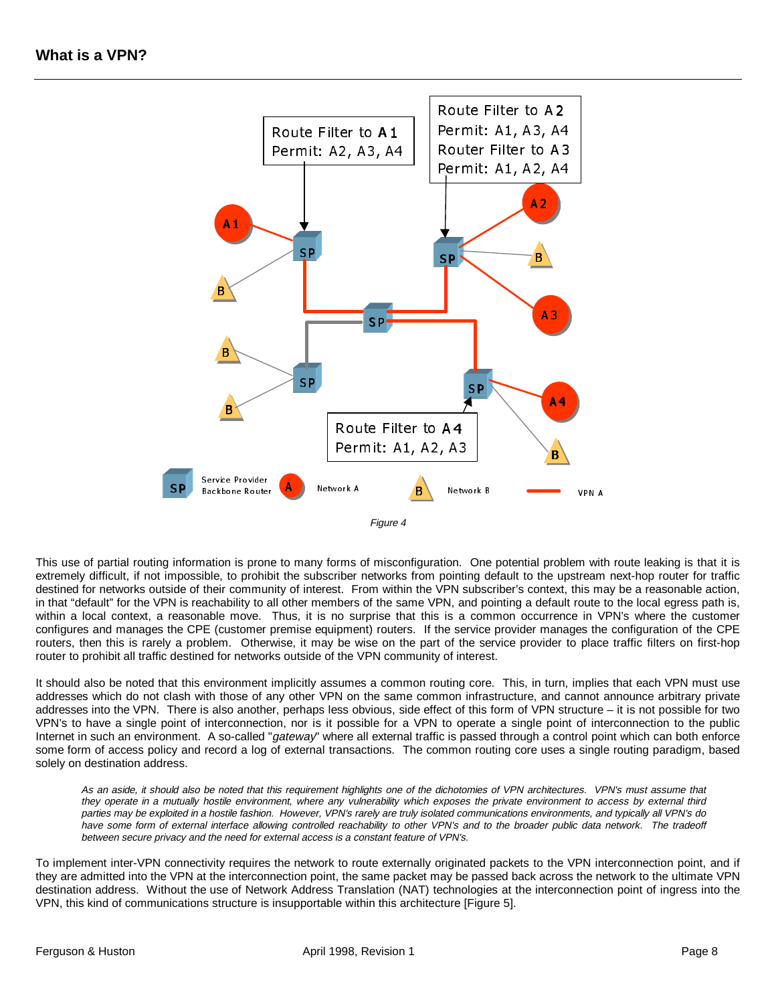



This use of partial routing information is prone to many forms of misconfiguration. One potential problem with route leaking is that it is extremely difficult, if not impossible, to prohibit the subscriber networks from pointing default to the upstream next-hop router for traffic destined for networks outside of their community of interest. From within the VPN subscriber's context, this may be a reasonable action, in that "default" for the VPN is reachability to all other members of the same VPN, and pointing a default route to the local egress path is, within a local context, a reasonable move. Thus, it is no surprise that this is a common occurrence in VPN's where the customer configures and manages the CPE (customer premise equipment) routers. If the service provider manages the configuration of the CPE routers, then this is rarely a problem. Otherwise, it may be wise on the part of the service provider to place traffic filters on first-hop router to prohibit all traffic destined for networks outside of the VPN community of interest.

It should also be noted that this environment implicitly assumes a common routing core. This, in turn, implies that each VPN must use addresses which do not clash with those of any other VPN on the same common infrastructure, and cannot announce arbitrary private addresses into the VPN. There is also another, perhaps less obvious, side effect of this form of VPN structure – it is not possible for two VPN's to have a single point of interconnection, nor is it possible for a VPN to operate a single point of interconnection to the public Internet in such an environment. A so-called "gateway" where all external traffic is passed through a control point which can both enforce some form of access policy and record a log of external transactions. The common routing core uses a single routing paradigm, based solely on destination address.

As an aside, it should also be noted that this requirement highlights one of the dichotomies of VPN architectures. VPN's must assume that they operate in a mutually hostile environment, where any vulnerability which exposes the private environment to access by external third parties may be exploited in a hostile fashion. However, VPN's rarely are truly isolated communications environments, and typically all VPN's do have some form of external interface allowing controlled reachability to other VPN's and to the broader public data network. The tradeoff between secure privacy and the need for external access is a constant feature of VPN's.

To implement inter-VPN connectivity requires the network to route externally originated packets to the VPN interconnection point, and if they are admitted into the VPN at the interconnection point, the same packet may be passed back across the network to the ultimate VPN destination address. Without the use of Network Address Translation (NAT) technologies at the interconnection point of ingress into the VPN, this kind of communications structure is insupportable within this architecture [Figure 5].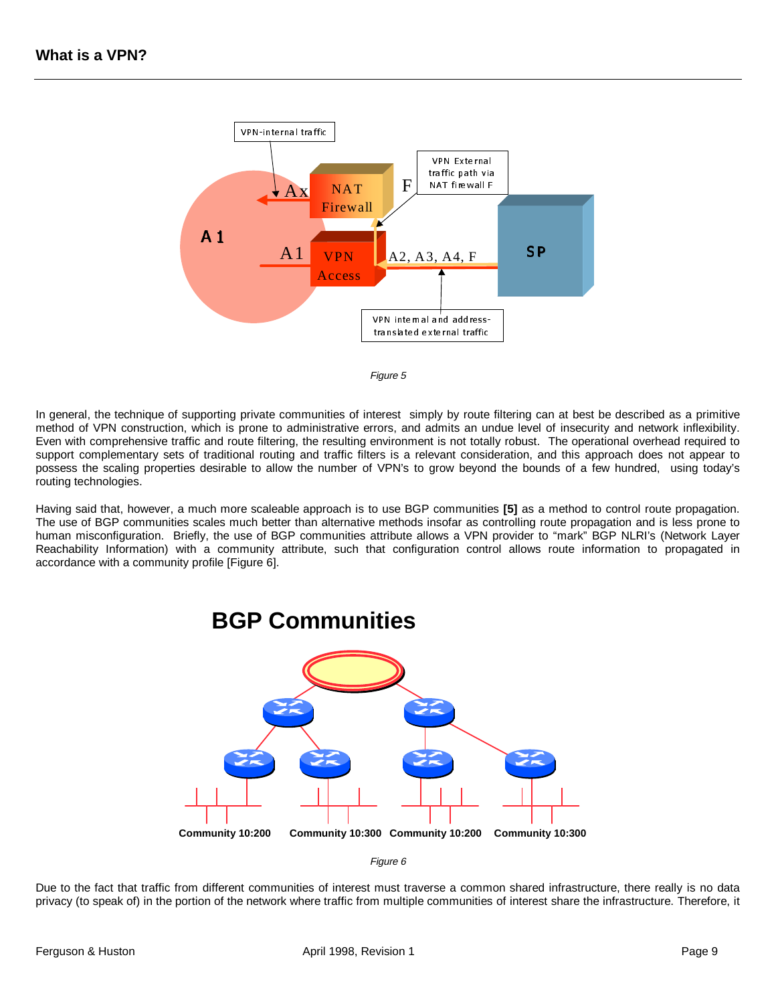



In general, the technique of supporting private communities of interest simply by route filtering can at best be described as a primitive method of VPN construction, which is prone to administrative errors, and admits an undue level of insecurity and network inflexibility. Even with comprehensive traffic and route filtering, the resulting environment is not totally robust. The operational overhead required to support complementary sets of traditional routing and traffic filters is a relevant consideration, and this approach does not appear to possess the scaling properties desirable to allow the number of VPN's to grow beyond the bounds of a few hundred, using today's routing technologies.

Having said that, however, a much more scaleable approach is to use BGP communities **[5]** as a method to control route propagation. The use of BGP communities scales much better than alternative methods insofar as controlling route propagation and is less prone to human misconfiguration. Briefly, the use of BGP communities attribute allows a VPN provider to "mark" BGP NLRI's (Network Layer Reachability Information) with a community attribute, such that configuration control allows route information to propagated in accordance with a community profile [Figure 6].



**BGP Communities**

Figure 6

Due to the fact that traffic from different communities of interest must traverse a common shared infrastructure, there really is no data privacy (to speak of) in the portion of the network where traffic from multiple communities of interest share the infrastructure. Therefore, it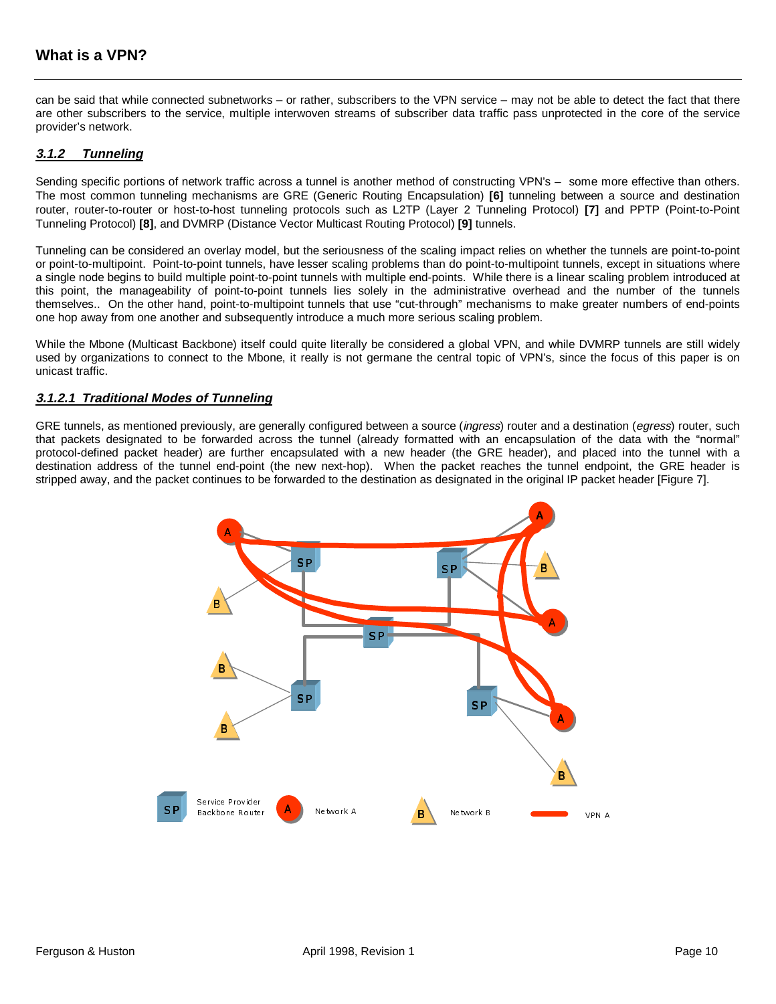## **What is a VPN?**

can be said that while connected subnetworks – or rather, subscribers to the VPN service – may not be able to detect the fact that there are other subscribers to the service, multiple interwoven streams of subscriber data traffic pass unprotected in the core of the service provider's network.

#### **3.1.2 Tunneling**

Sending specific portions of network traffic across a tunnel is another method of constructing VPN's – some more effective than others. The most common tunneling mechanisms are GRE (Generic Routing Encapsulation) **[6]** tunneling between a source and destination router, router-to-router or host-to-host tunneling protocols such as L2TP (Layer 2 Tunneling Protocol) **[7]** and PPTP (Point-to-Point Tunneling Protocol) **[8]**, and DVMRP (Distance Vector Multicast Routing Protocol) **[9]** tunnels.

Tunneling can be considered an overlay model, but the seriousness of the scaling impact relies on whether the tunnels are point-to-point or point-to-multipoint. Point-to-point tunnels, have lesser scaling problems than do point-to-multipoint tunnels, except in situations where a single node begins to build multiple point-to-point tunnels with multiple end-points. While there is a linear scaling problem introduced at this point, the manageability of point-to-point tunnels lies solely in the administrative overhead and the number of the tunnels themselves.. On the other hand, point-to-multipoint tunnels that use "cut-through" mechanisms to make greater numbers of end-points one hop away from one another and subsequently introduce a much more serious scaling problem.

While the Mbone (Multicast Backbone) itself could quite literally be considered a global VPN, and while DVMRP tunnels are still widely used by organizations to connect to the Mbone, it really is not germane the central topic of VPN's, since the focus of this paper is on unicast traffic.

#### **3.1.2.1 Traditional Modes of Tunneling**

GRE tunnels, as mentioned previously, are generally configured between a source (ingress) router and a destination (egress) router, such that packets designated to be forwarded across the tunnel (already formatted with an encapsulation of the data with the "normal" protocol-defined packet header) are further encapsulated with a new header (the GRE header), and placed into the tunnel with a destination address of the tunnel end-point (the new next-hop). When the packet reaches the tunnel endpoint, the GRE header is stripped away, and the packet continues to be forwarded to the destination as designated in the original IP packet header [Figure 7].

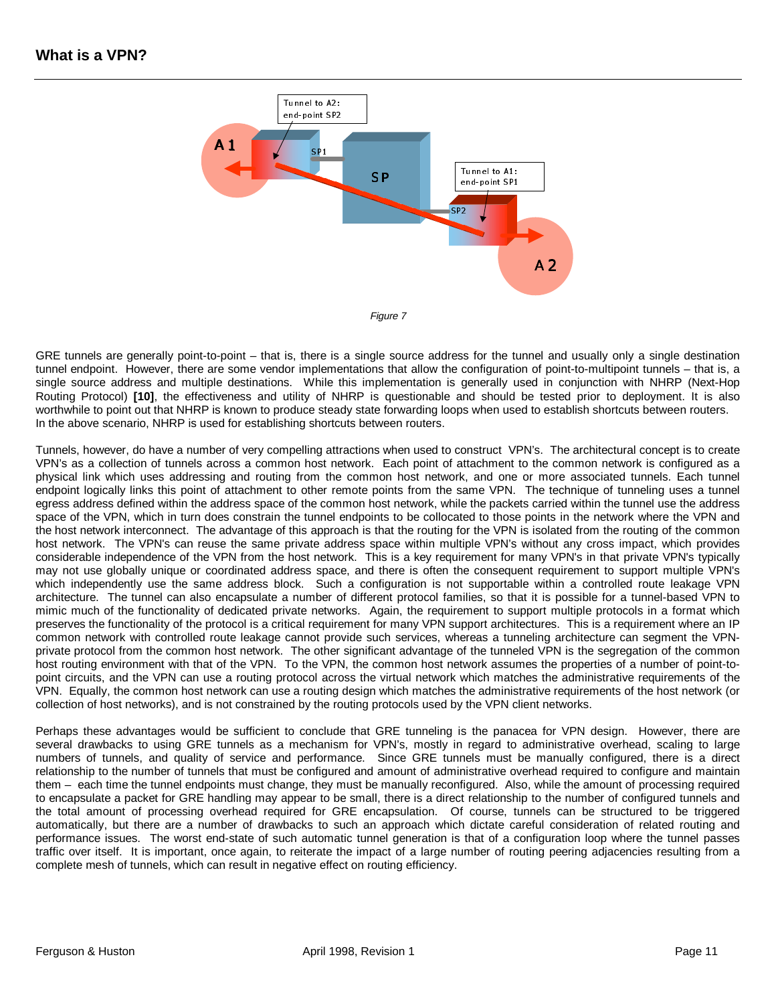

GRE tunnels are generally point-to-point – that is, there is a single source address for the tunnel and usually only a single destination tunnel endpoint. However, there are some vendor implementations that allow the configuration of point-to-multipoint tunnels – that is, a single source address and multiple destinations. While this implementation is generally used in conjunction with NHRP (Next-Hop Routing Protocol) **[10]**, the effectiveness and utility of NHRP is questionable and should be tested prior to deployment. It is also worthwhile to point out that NHRP is known to produce steady state forwarding loops when used to establish shortcuts between routers. In the above scenario, NHRP is used for establishing shortcuts between routers.

Tunnels, however, do have a number of very compelling attractions when used to construct VPN's. The architectural concept is to create VPN's as a collection of tunnels across a common host network. Each point of attachment to the common network is configured as a physical link which uses addressing and routing from the common host network, and one or more associated tunnels. Each tunnel endpoint logically links this point of attachment to other remote points from the same VPN. The technique of tunneling uses a tunnel egress address defined within the address space of the common host network, while the packets carried within the tunnel use the address space of the VPN, which in turn does constrain the tunnel endpoints to be collocated to those points in the network where the VPN and the host network interconnect. The advantage of this approach is that the routing for the VPN is isolated from the routing of the common host network. The VPN's can reuse the same private address space within multiple VPN's without any cross impact, which provides considerable independence of the VPN from the host network. This is a key requirement for many VPN's in that private VPN's typically may not use globally unique or coordinated address space, and there is often the consequent requirement to support multiple VPN's which independently use the same address block. Such a configuration is not supportable within a controlled route leakage VPN architecture. The tunnel can also encapsulate a number of different protocol families, so that it is possible for a tunnel-based VPN to mimic much of the functionality of dedicated private networks. Again, the requirement to support multiple protocols in a format which preserves the functionality of the protocol is a critical requirement for many VPN support architectures. This is a requirement where an IP common network with controlled route leakage cannot provide such services, whereas a tunneling architecture can segment the VPNprivate protocol from the common host network. The other significant advantage of the tunneled VPN is the segregation of the common host routing environment with that of the VPN. To the VPN, the common host network assumes the properties of a number of point-topoint circuits, and the VPN can use a routing protocol across the virtual network which matches the administrative requirements of the VPN. Equally, the common host network can use a routing design which matches the administrative requirements of the host network (or collection of host networks), and is not constrained by the routing protocols used by the VPN client networks.

Perhaps these advantages would be sufficient to conclude that GRE tunneling is the panacea for VPN design. However, there are several drawbacks to using GRE tunnels as a mechanism for VPN's, mostly in regard to administrative overhead, scaling to large numbers of tunnels, and quality of service and performance. Since GRE tunnels must be manually configured, there is a direct relationship to the number of tunnels that must be configured and amount of administrative overhead required to configure and maintain them – each time the tunnel endpoints must change, they must be manually reconfigured. Also, while the amount of processing required to encapsulate a packet for GRE handling may appear to be small, there is a direct relationship to the number of configured tunnels and the total amount of processing overhead required for GRE encapsulation. Of course, tunnels can be structured to be triggered automatically, but there are a number of drawbacks to such an approach which dictate careful consideration of related routing and performance issues. The worst end-state of such automatic tunnel generation is that of a configuration loop where the tunnel passes traffic over itself. It is important, once again, to reiterate the impact of a large number of routing peering adjacencies resulting from a complete mesh of tunnels, which can result in negative effect on routing efficiency.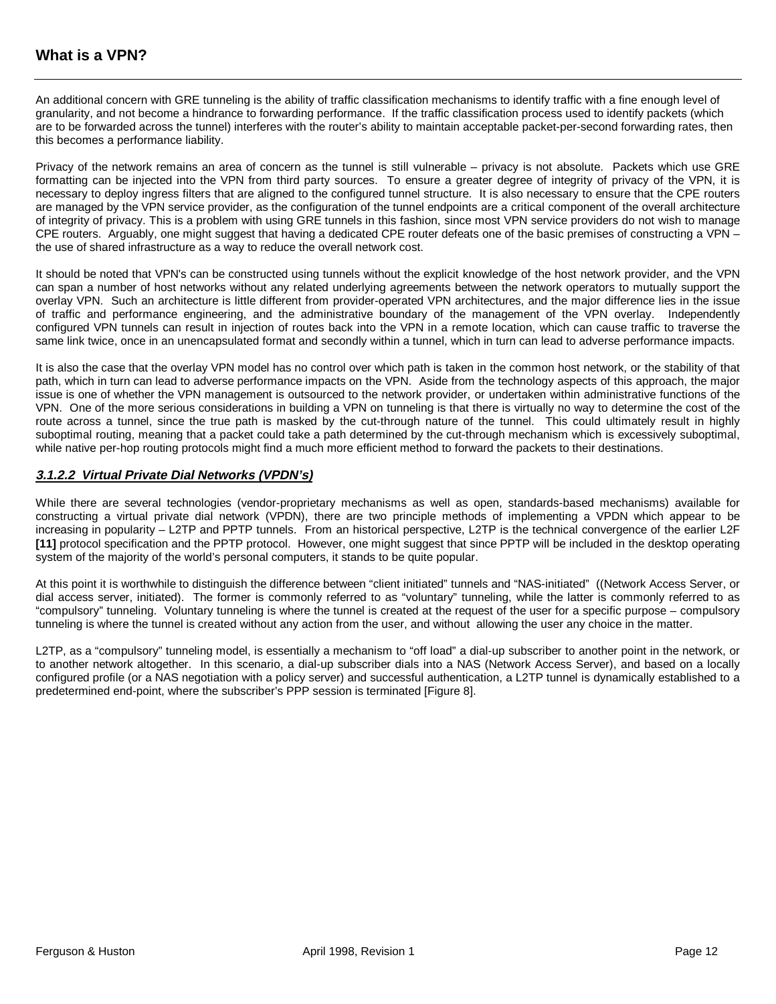An additional concern with GRE tunneling is the ability of traffic classification mechanisms to identify traffic with a fine enough level of granularity, and not become a hindrance to forwarding performance. If the traffic classification process used to identify packets (which are to be forwarded across the tunnel) interferes with the router's ability to maintain acceptable packet-per-second forwarding rates, then this becomes a performance liability.

Privacy of the network remains an area of concern as the tunnel is still vulnerable – privacy is not absolute. Packets which use GRE formatting can be injected into the VPN from third party sources. To ensure a greater degree of integrity of privacy of the VPN, it is necessary to deploy ingress filters that are aligned to the configured tunnel structure. It is also necessary to ensure that the CPE routers are managed by the VPN service provider, as the configuration of the tunnel endpoints are a critical component of the overall architecture of integrity of privacy. This is a problem with using GRE tunnels in this fashion, since most VPN service providers do not wish to manage CPE routers. Arguably, one might suggest that having a dedicated CPE router defeats one of the basic premises of constructing a VPN – the use of shared infrastructure as a way to reduce the overall network cost.

It should be noted that VPN's can be constructed using tunnels without the explicit knowledge of the host network provider, and the VPN can span a number of host networks without any related underlying agreements between the network operators to mutually support the overlay VPN. Such an architecture is little different from provider-operated VPN architectures, and the major difference lies in the issue of traffic and performance engineering, and the administrative boundary of the management of the VPN overlay. Independently configured VPN tunnels can result in injection of routes back into the VPN in a remote location, which can cause traffic to traverse the same link twice, once in an unencapsulated format and secondly within a tunnel, which in turn can lead to adverse performance impacts.

It is also the case that the overlay VPN model has no control over which path is taken in the common host network, or the stability of that path, which in turn can lead to adverse performance impacts on the VPN. Aside from the technology aspects of this approach, the major issue is one of whether the VPN management is outsourced to the network provider, or undertaken within administrative functions of the VPN. One of the more serious considerations in building a VPN on tunneling is that there is virtually no way to determine the cost of the route across a tunnel, since the true path is masked by the cut-through nature of the tunnel. This could ultimately result in highly suboptimal routing, meaning that a packet could take a path determined by the cut-through mechanism which is excessively suboptimal, while native per-hop routing protocols might find a much more efficient method to forward the packets to their destinations.

#### **3.1.2.2 Virtual Private Dial Networks (VPDN's)**

While there are several technologies (vendor-proprietary mechanisms as well as open, standards-based mechanisms) available for constructing a virtual private dial network (VPDN), there are two principle methods of implementing a VPDN which appear to be increasing in popularity – L2TP and PPTP tunnels. From an historical perspective, L2TP is the technical convergence of the earlier L2F **[11]** protocol specification and the PPTP protocol. However, one might suggest that since PPTP will be included in the desktop operating system of the majority of the world's personal computers, it stands to be quite popular.

At this point it is worthwhile to distinguish the difference between "client initiated" tunnels and "NAS-initiated" ((Network Access Server, or dial access server, initiated). The former is commonly referred to as "voluntary" tunneling, while the latter is commonly referred to as "compulsory" tunneling. Voluntary tunneling is where the tunnel is created at the request of the user for a specific purpose – compulsory tunneling is where the tunnel is created without any action from the user, and without allowing the user any choice in the matter.

L2TP, as a "compulsory" tunneling model, is essentially a mechanism to "off load" a dial-up subscriber to another point in the network, or to another network altogether. In this scenario, a dial-up subscriber dials into a NAS (Network Access Server), and based on a locally configured profile (or a NAS negotiation with a policy server) and successful authentication, a L2TP tunnel is dynamically established to a predetermined end-point, where the subscriber's PPP session is terminated [Figure 8].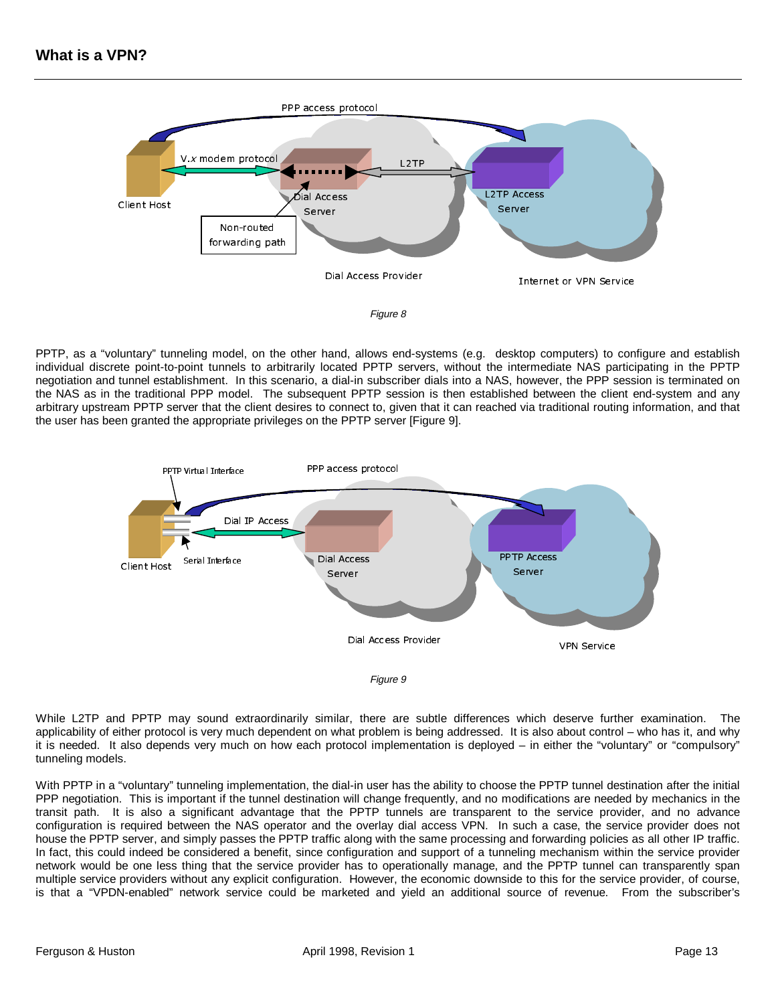

PPTP, as a "voluntary" tunneling model, on the other hand, allows end-systems (e.g. desktop computers) to configure and establish individual discrete point-to-point tunnels to arbitrarily located PPTP servers, without the intermediate NAS participating in the PPTP negotiation and tunnel establishment. In this scenario, a dial-in subscriber dials into a NAS, however, the PPP session is terminated on the NAS as in the traditional PPP model. The subsequent PPTP session is then established between the client end-system and any arbitrary upstream PPTP server that the client desires to connect to, given that it can reached via traditional routing information, and that the user has been granted the appropriate privileges on the PPTP server [Figure 9].





While L2TP and PPTP may sound extraordinarily similar, there are subtle differences which deserve further examination. The applicability of either protocol is very much dependent on what problem is being addressed. It is also about control – who has it, and why it is needed. It also depends very much on how each protocol implementation is deployed – in either the "voluntary" or "compulsory" tunneling models.

With PPTP in a "voluntary" tunneling implementation, the dial-in user has the ability to choose the PPTP tunnel destination after the initial PPP negotiation. This is important if the tunnel destination will change frequently, and no modifications are needed by mechanics in the transit path. It is also a significant advantage that the PPTP tunnels are transparent to the service provider, and no advance configuration is required between the NAS operator and the overlay dial access VPN. In such a case, the service provider does not house the PPTP server, and simply passes the PPTP traffic along with the same processing and forwarding policies as all other IP traffic. In fact, this could indeed be considered a benefit, since configuration and support of a tunneling mechanism within the service provider network would be one less thing that the service provider has to operationally manage, and the PPTP tunnel can transparently span multiple service providers without any explicit configuration. However, the economic downside to this for the service provider, of course, is that a "VPDN-enabled" network service could be marketed and yield an additional source of revenue. From the subscriber's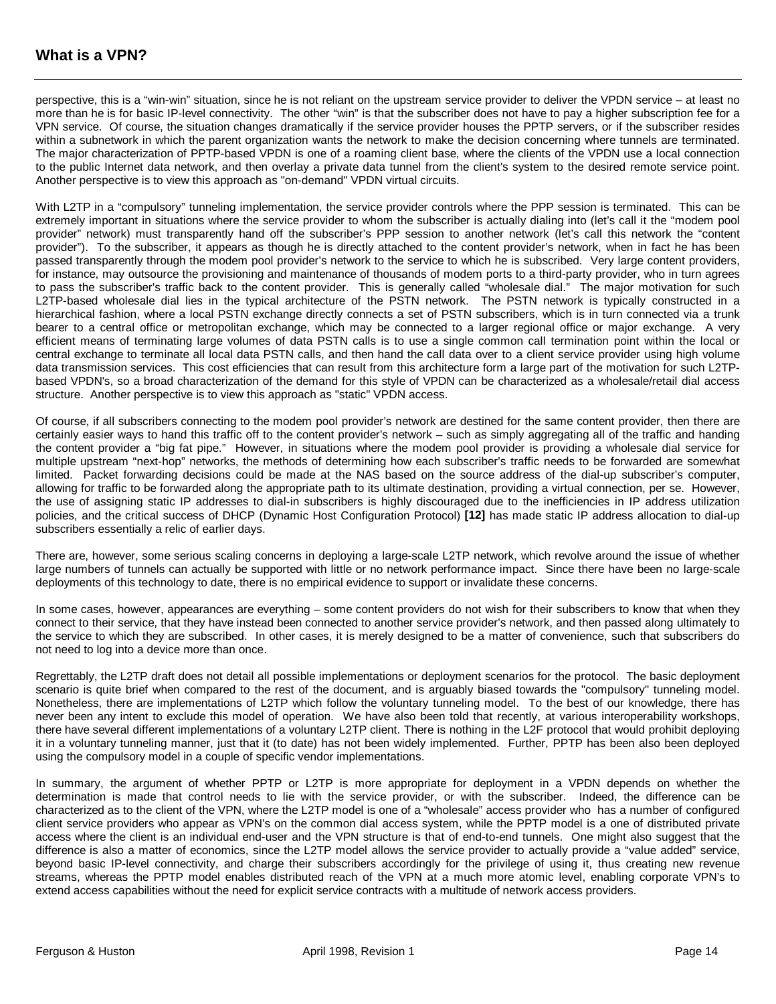perspective, this is a "win-win" situation, since he is not reliant on the upstream service provider to deliver the VPDN service – at least no more than he is for basic IP-level connectivity. The other "win" is that the subscriber does not have to pay a higher subscription fee for a VPN service. Of course, the situation changes dramatically if the service provider houses the PPTP servers, or if the subscriber resides within a subnetwork in which the parent organization wants the network to make the decision concerning where tunnels are terminated. The major characterization of PPTP-based VPDN is one of a roaming client base, where the clients of the VPDN use a local connection to the public Internet data network, and then overlay a private data tunnel from the client's system to the desired remote service point. Another perspective is to view this approach as "on-demand" VPDN virtual circuits.

With L2TP in a "compulsory" tunneling implementation, the service provider controls where the PPP session is terminated. This can be extremely important in situations where the service provider to whom the subscriber is actually dialing into (let's call it the "modem pool provider" network) must transparently hand off the subscriber's PPP session to another network (let's call this network the "content provider"). To the subscriber, it appears as though he is directly attached to the content provider's network, when in fact he has been passed transparently through the modem pool provider's network to the service to which he is subscribed. Very large content providers, for instance, may outsource the provisioning and maintenance of thousands of modem ports to a third-party provider, who in turn agrees to pass the subscriber's traffic back to the content provider. This is generally called "wholesale dial." The major motivation for such L2TP-based wholesale dial lies in the typical architecture of the PSTN network. The PSTN network is typically constructed in a hierarchical fashion, where a local PSTN exchange directly connects a set of PSTN subscribers, which is in turn connected via a trunk bearer to a central office or metropolitan exchange, which may be connected to a larger regional office or major exchange. A very efficient means of terminating large volumes of data PSTN calls is to use a single common call termination point within the local or central exchange to terminate all local data PSTN calls, and then hand the call data over to a client service provider using high volume data transmission services. This cost efficiencies that can result from this architecture form a large part of the motivation for such L2TPbased VPDN's, so a broad characterization of the demand for this style of VPDN can be characterized as a wholesale/retail dial access structure. Another perspective is to view this approach as "static" VPDN access.

Of course, if all subscribers connecting to the modem pool provider's network are destined for the same content provider, then there are certainly easier ways to hand this traffic off to the content provider's network – such as simply aggregating all of the traffic and handing the content provider a "big fat pipe." However, in situations where the modem pool provider is providing a wholesale dial service for multiple upstream "next-hop" networks, the methods of determining how each subscriber's traffic needs to be forwarded are somewhat limited. Packet forwarding decisions could be made at the NAS based on the source address of the dial-up subscriber's computer, allowing for traffic to be forwarded along the appropriate path to its ultimate destination, providing a virtual connection, per se. However, the use of assigning static IP addresses to dial-in subscribers is highly discouraged due to the inefficiencies in IP address utilization policies, and the critical success of DHCP (Dynamic Host Configuration Protocol) **[12]** has made static IP address allocation to dial-up subscribers essentially a relic of earlier days.

There are, however, some serious scaling concerns in deploying a large-scale L2TP network, which revolve around the issue of whether large numbers of tunnels can actually be supported with little or no network performance impact. Since there have been no large-scale deployments of this technology to date, there is no empirical evidence to support or invalidate these concerns.

In some cases, however, appearances are everything – some content providers do not wish for their subscribers to know that when they connect to their service, that they have instead been connected to another service provider's network, and then passed along ultimately to the service to which they are subscribed. In other cases, it is merely designed to be a matter of convenience, such that subscribers do not need to log into a device more than once.

Regrettably, the L2TP draft does not detail all possible implementations or deployment scenarios for the protocol. The basic deployment scenario is quite brief when compared to the rest of the document, and is arguably biased towards the "compulsory" tunneling model. Nonetheless, there are implementations of L2TP which follow the voluntary tunneling model. To the best of our knowledge, there has never been any intent to exclude this model of operation. We have also been told that recently, at various interoperability workshops, there have several different implementations of a voluntary L2TP client. There is nothing in the L2F protocol that would prohibit deploying it in a voluntary tunneling manner, just that it (to date) has not been widely implemented. Further, PPTP has been also been deployed using the compulsory model in a couple of specific vendor implementations.

In summary, the argument of whether PPTP or L2TP is more appropriate for deployment in a VPDN depends on whether the determination is made that control needs to lie with the service provider, or with the subscriber. Indeed, the difference can be characterized as to the client of the VPN, where the L2TP model is one of a "wholesale" access provider who has a number of configured client service providers who appear as VPN's on the common dial access system, while the PPTP model is a one of distributed private access where the client is an individual end-user and the VPN structure is that of end-to-end tunnels. One might also suggest that the difference is also a matter of economics, since the L2TP model allows the service provider to actually provide a "value added" service, beyond basic IP-level connectivity, and charge their subscribers accordingly for the privilege of using it, thus creating new revenue streams, whereas the PPTP model enables distributed reach of the VPN at a much more atomic level, enabling corporate VPN's to extend access capabilities without the need for explicit service contracts with a multitude of network access providers.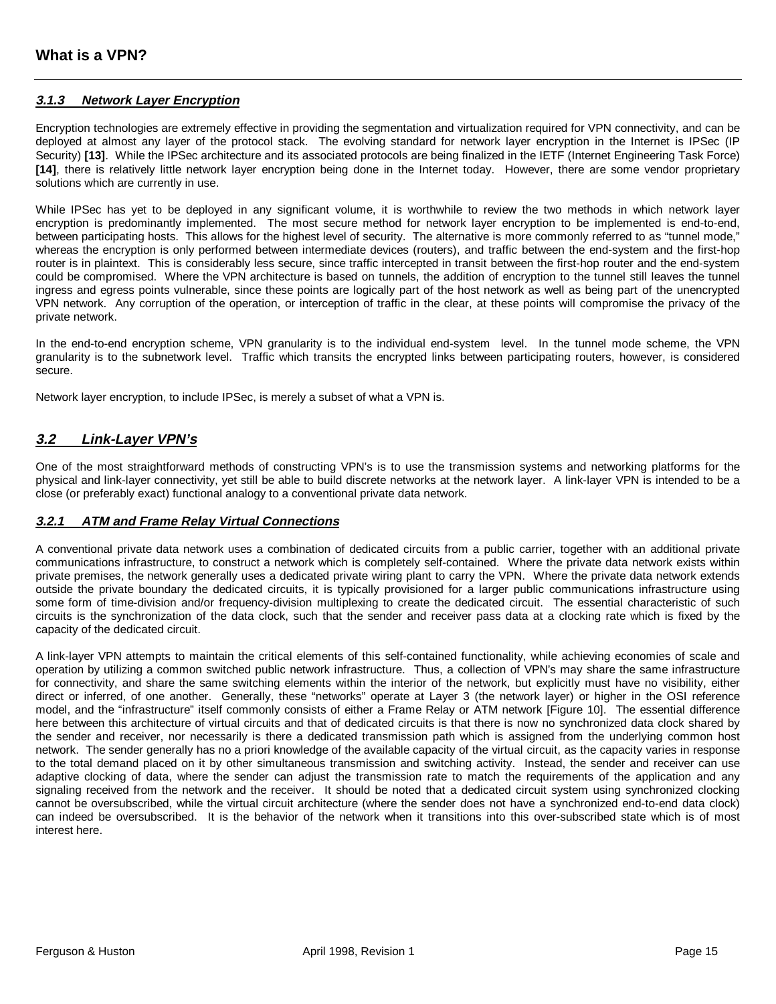#### **3.1.3 Network Layer Encryption**

Encryption technologies are extremely effective in providing the segmentation and virtualization required for VPN connectivity, and can be deployed at almost any layer of the protocol stack. The evolving standard for network layer encryption in the Internet is IPSec (IP Security) **[13]**. While the IPSec architecture and its associated protocols are being finalized in the IETF (Internet Engineering Task Force) **[14]**, there is relatively little network layer encryption being done in the Internet today. However, there are some vendor proprietary solutions which are currently in use.

While IPSec has yet to be deployed in any significant volume, it is worthwhile to review the two methods in which network layer encryption is predominantly implemented. The most secure method for network layer encryption to be implemented is end-to-end, between participating hosts. This allows for the highest level of security. The alternative is more commonly referred to as "tunnel mode," whereas the encryption is only performed between intermediate devices (routers), and traffic between the end-system and the first-hop router is in plaintext. This is considerably less secure, since traffic intercepted in transit between the first-hop router and the end-system could be compromised. Where the VPN architecture is based on tunnels, the addition of encryption to the tunnel still leaves the tunnel ingress and egress points vulnerable, since these points are logically part of the host network as well as being part of the unencrypted VPN network. Any corruption of the operation, or interception of traffic in the clear, at these points will compromise the privacy of the private network.

In the end-to-end encryption scheme, VPN granularity is to the individual end-system level. In the tunnel mode scheme, the VPN granularity is to the subnetwork level. Traffic which transits the encrypted links between participating routers, however, is considered secure.

Network layer encryption, to include IPSec, is merely a subset of what a VPN is.

## **3.2 Link-Layer VPN's**

One of the most straightforward methods of constructing VPN's is to use the transmission systems and networking platforms for the physical and link-layer connectivity, yet still be able to build discrete networks at the network layer. A link-layer VPN is intended to be a close (or preferably exact) functional analogy to a conventional private data network.

#### **3.2.1 ATM and Frame Relay Virtual Connections**

A conventional private data network uses a combination of dedicated circuits from a public carrier, together with an additional private communications infrastructure, to construct a network which is completely self-contained. Where the private data network exists within private premises, the network generally uses a dedicated private wiring plant to carry the VPN. Where the private data network extends outside the private boundary the dedicated circuits, it is typically provisioned for a larger public communications infrastructure using some form of time-division and/or frequency-division multiplexing to create the dedicated circuit. The essential characteristic of such circuits is the synchronization of the data clock, such that the sender and receiver pass data at a clocking rate which is fixed by the capacity of the dedicated circuit.

A link-layer VPN attempts to maintain the critical elements of this self-contained functionality, while achieving economies of scale and operation by utilizing a common switched public network infrastructure. Thus, a collection of VPN's may share the same infrastructure for connectivity, and share the same switching elements within the interior of the network, but explicitly must have no visibility, either direct or inferred, of one another. Generally, these "networks" operate at Layer 3 (the network layer) or higher in the OSI reference model, and the "infrastructure" itself commonly consists of either a Frame Relay or ATM network [Figure 10]. The essential difference here between this architecture of virtual circuits and that of dedicated circuits is that there is now no synchronized data clock shared by the sender and receiver, nor necessarily is there a dedicated transmission path which is assigned from the underlying common host network. The sender generally has no a priori knowledge of the available capacity of the virtual circuit, as the capacity varies in response to the total demand placed on it by other simultaneous transmission and switching activity. Instead, the sender and receiver can use adaptive clocking of data, where the sender can adjust the transmission rate to match the requirements of the application and any signaling received from the network and the receiver. It should be noted that a dedicated circuit system using synchronized clocking cannot be oversubscribed, while the virtual circuit architecture (where the sender does not have a synchronized end-to-end data clock) can indeed be oversubscribed. It is the behavior of the network when it transitions into this over-subscribed state which is of most interest here.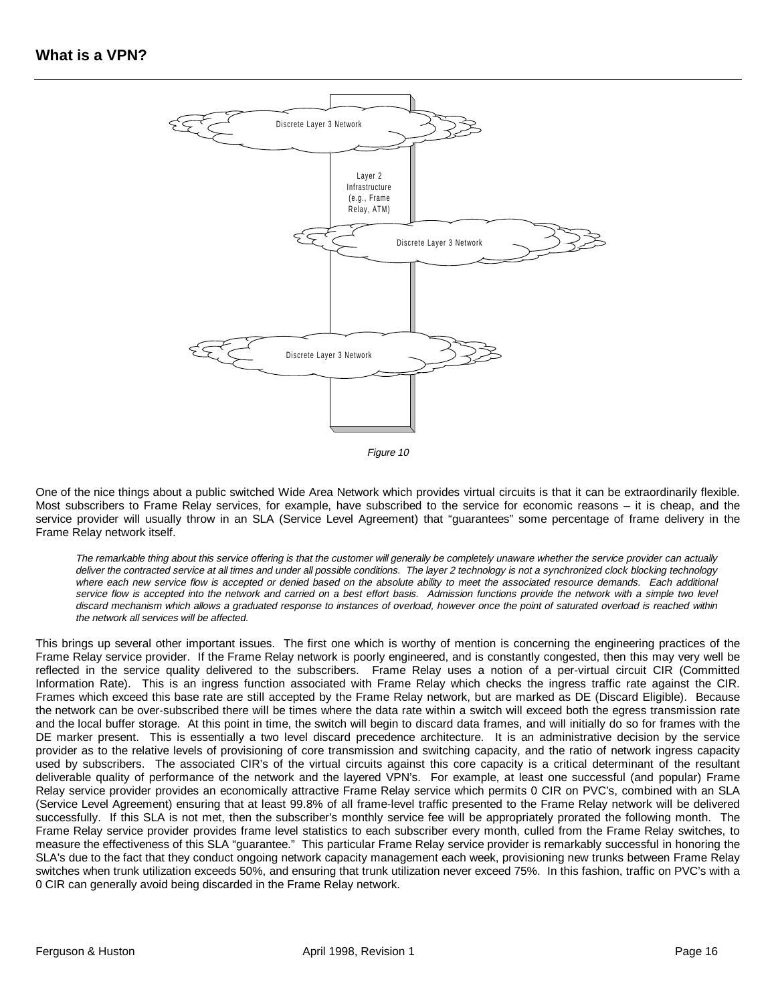

Figure 10

One of the nice things about a public switched Wide Area Network which provides virtual circuits is that it can be extraordinarily flexible. Most subscribers to Frame Relay services, for example, have subscribed to the service for economic reasons – it is cheap, and the service provider will usually throw in an SLA (Service Level Agreement) that "guarantees" some percentage of frame delivery in the Frame Relay network itself.

The remarkable thing about this service offering is that the customer will generally be completely unaware whether the service provider can actually deliver the contracted service at all times and under all possible conditions. The layer 2 technology is not a synchronized clock blocking technology where each new service flow is accepted or denied based on the absolute ability to meet the associated resource demands. Each additional service flow is accepted into the network and carried on a best effort basis. Admission functions provide the network with a simple two level discard mechanism which allows a graduated response to instances of overload, however once the point of saturated overload is reached within the network all services will be affected.

This brings up several other important issues. The first one which is worthy of mention is concerning the engineering practices of the Frame Relay service provider. If the Frame Relay network is poorly engineered, and is constantly congested, then this may very well be reflected in the service quality delivered to the subscribers. Frame Relay uses a notion of a per-virtual circuit CIR (Committed Information Rate). This is an ingress function associated with Frame Relay which checks the ingress traffic rate against the CIR. Frames which exceed this base rate are still accepted by the Frame Relay network, but are marked as DE (Discard Eligible). Because the network can be over-subscribed there will be times where the data rate within a switch will exceed both the egress transmission rate and the local buffer storage. At this point in time, the switch will begin to discard data frames, and will initially do so for frames with the DE marker present. This is essentially a two level discard precedence architecture. It is an administrative decision by the service provider as to the relative levels of provisioning of core transmission and switching capacity, and the ratio of network ingress capacity used by subscribers. The associated CIR's of the virtual circuits against this core capacity is a critical determinant of the resultant deliverable quality of performance of the network and the layered VPN's. For example, at least one successful (and popular) Frame Relay service provider provides an economically attractive Frame Relay service which permits 0 CIR on PVC's, combined with an SLA (Service Level Agreement) ensuring that at least 99.8% of all frame-level traffic presented to the Frame Relay network will be delivered successfully. If this SLA is not met, then the subscriber's monthly service fee will be appropriately prorated the following month. The Frame Relay service provider provides frame level statistics to each subscriber every month, culled from the Frame Relay switches, to measure the effectiveness of this SLA "guarantee." This particular Frame Relay service provider is remarkably successful in honoring the SLA's due to the fact that they conduct ongoing network capacity management each week, provisioning new trunks between Frame Relay switches when trunk utilization exceeds 50%, and ensuring that trunk utilization never exceed 75%. In this fashion, traffic on PVC's with a 0 CIR can generally avoid being discarded in the Frame Relay network.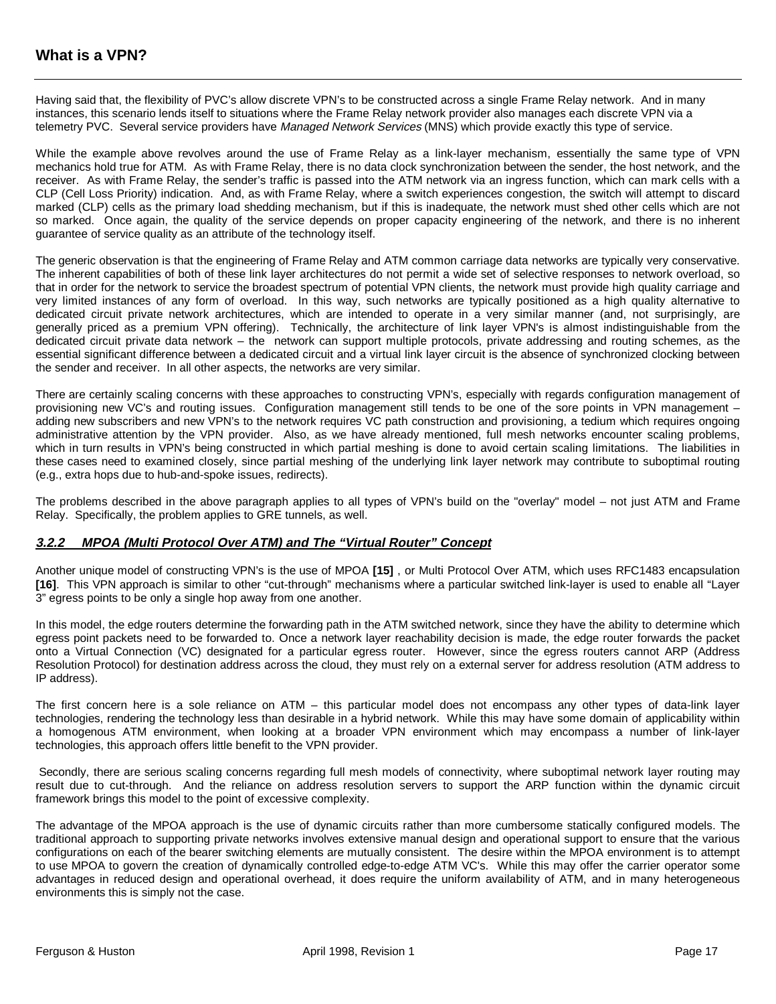Having said that, the flexibility of PVC's allow discrete VPN's to be constructed across a single Frame Relay network. And in many instances, this scenario lends itself to situations where the Frame Relay network provider also manages each discrete VPN via a telemetry PVC. Several service providers have Managed Network Services (MNS) which provide exactly this type of service.

While the example above revolves around the use of Frame Relay as a link-layer mechanism, essentially the same type of VPN mechanics hold true for ATM. As with Frame Relay, there is no data clock synchronization between the sender, the host network, and the receiver. As with Frame Relay, the sender's traffic is passed into the ATM network via an ingress function, which can mark cells with a CLP (Cell Loss Priority) indication. And, as with Frame Relay, where a switch experiences congestion, the switch will attempt to discard marked (CLP) cells as the primary load shedding mechanism, but if this is inadequate, the network must shed other cells which are not so marked. Once again, the quality of the service depends on proper capacity engineering of the network, and there is no inherent guarantee of service quality as an attribute of the technology itself.

The generic observation is that the engineering of Frame Relay and ATM common carriage data networks are typically very conservative. The inherent capabilities of both of these link layer architectures do not permit a wide set of selective responses to network overload, so that in order for the network to service the broadest spectrum of potential VPN clients, the network must provide high quality carriage and very limited instances of any form of overload. In this way, such networks are typically positioned as a high quality alternative to dedicated circuit private network architectures, which are intended to operate in a very similar manner (and, not surprisingly, are generally priced as a premium VPN offering). Technically, the architecture of link layer VPN's is almost indistinguishable from the dedicated circuit private data network – the network can support multiple protocols, private addressing and routing schemes, as the essential significant difference between a dedicated circuit and a virtual link layer circuit is the absence of synchronized clocking between the sender and receiver. In all other aspects, the networks are very similar.

There are certainly scaling concerns with these approaches to constructing VPN's, especially with regards configuration management of provisioning new VC's and routing issues. Configuration management still tends to be one of the sore points in VPN management – adding new subscribers and new VPN's to the network requires VC path construction and provisioning, a tedium which requires ongoing administrative attention by the VPN provider. Also, as we have already mentioned, full mesh networks encounter scaling problems, which in turn results in VPN's being constructed in which partial meshing is done to avoid certain scaling limitations. The liabilities in these cases need to examined closely, since partial meshing of the underlying link layer network may contribute to suboptimal routing (e.g., extra hops due to hub-and-spoke issues, redirects).

The problems described in the above paragraph applies to all types of VPN's build on the "overlay" model – not just ATM and Frame Relay. Specifically, the problem applies to GRE tunnels, as well.

#### **3.2.2 MPOA (Multi Protocol Over ATM) and The "Virtual Router" Concept**

Another unique model of constructing VPN's is the use of MPOA **[15]** , or Multi Protocol Over ATM, which uses RFC1483 encapsulation **[16]**. This VPN approach is similar to other "cut-through" mechanisms where a particular switched link-layer is used to enable all "Layer 3" egress points to be only a single hop away from one another.

In this model, the edge routers determine the forwarding path in the ATM switched network, since they have the ability to determine which egress point packets need to be forwarded to. Once a network layer reachability decision is made, the edge router forwards the packet onto a Virtual Connection (VC) designated for a particular egress router. However, since the egress routers cannot ARP (Address Resolution Protocol) for destination address across the cloud, they must rely on a external server for address resolution (ATM address to IP address).

The first concern here is a sole reliance on ATM – this particular model does not encompass any other types of data-link layer technologies, rendering the technology less than desirable in a hybrid network. While this may have some domain of applicability within a homogenous ATM environment, when looking at a broader VPN environment which may encompass a number of link-layer technologies, this approach offers little benefit to the VPN provider.

 Secondly, there are serious scaling concerns regarding full mesh models of connectivity, where suboptimal network layer routing may result due to cut-through. And the reliance on address resolution servers to support the ARP function within the dynamic circuit framework brings this model to the point of excessive complexity.

The advantage of the MPOA approach is the use of dynamic circuits rather than more cumbersome statically configured models. The traditional approach to supporting private networks involves extensive manual design and operational support to ensure that the various configurations on each of the bearer switching elements are mutually consistent. The desire within the MPOA environment is to attempt to use MPOA to govern the creation of dynamically controlled edge-to-edge ATM VC's. While this may offer the carrier operator some advantages in reduced design and operational overhead, it does require the uniform availability of ATM, and in many heterogeneous environments this is simply not the case.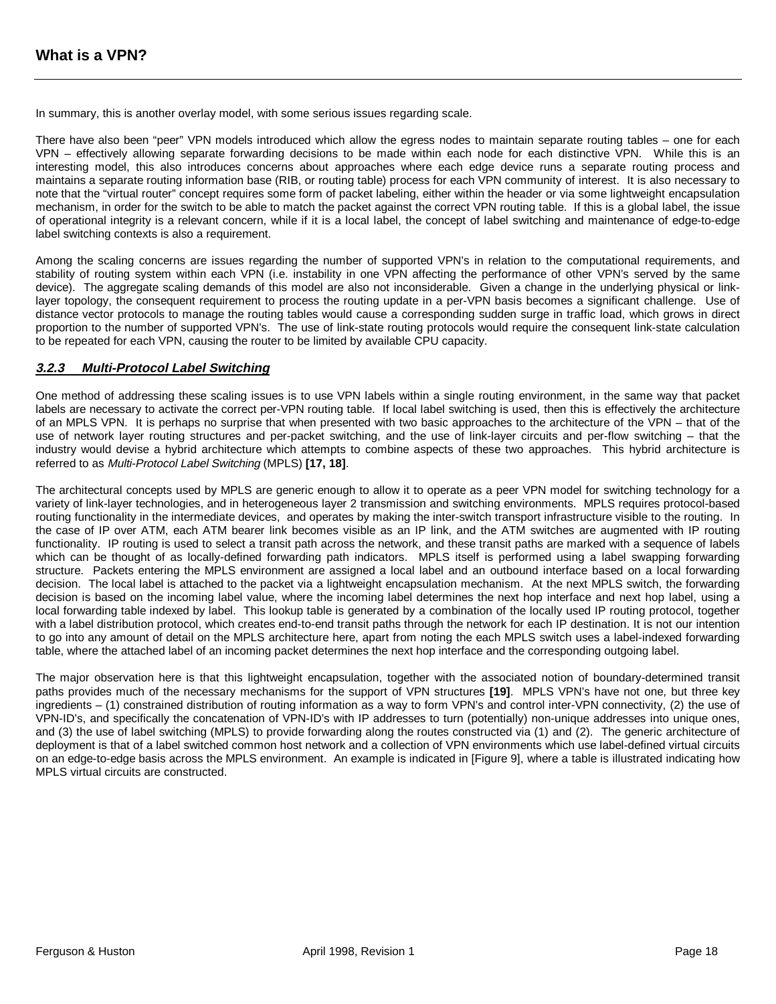In summary, this is another overlay model, with some serious issues regarding scale.

There have also been "peer" VPN models introduced which allow the egress nodes to maintain separate routing tables – one for each VPN – effectively allowing separate forwarding decisions to be made within each node for each distinctive VPN. While this is an interesting model, this also introduces concerns about approaches where each edge device runs a separate routing process and maintains a separate routing information base (RIB, or routing table) process for each VPN community of interest. It is also necessary to note that the "virtual router" concept requires some form of packet labeling, either within the header or via some lightweight encapsulation mechanism, in order for the switch to be able to match the packet against the correct VPN routing table. If this is a global label, the issue of operational integrity is a relevant concern, while if it is a local label, the concept of label switching and maintenance of edge-to-edge label switching contexts is also a requirement.

Among the scaling concerns are issues regarding the number of supported VPN's in relation to the computational requirements, and stability of routing system within each VPN (i.e. instability in one VPN affecting the performance of other VPN's served by the same device). The aggregate scaling demands of this model are also not inconsiderable. Given a change in the underlying physical or linklayer topology, the consequent requirement to process the routing update in a per-VPN basis becomes a significant challenge. Use of distance vector protocols to manage the routing tables would cause a corresponding sudden surge in traffic load, which grows in direct proportion to the number of supported VPN's. The use of link-state routing protocols would require the consequent link-state calculation to be repeated for each VPN, causing the router to be limited by available CPU capacity.

#### **3.2.3 Multi-Protocol Label Switching**

One method of addressing these scaling issues is to use VPN labels within a single routing environment, in the same way that packet labels are necessary to activate the correct per-VPN routing table. If local label switching is used, then this is effectively the architecture of an MPLS VPN. It is perhaps no surprise that when presented with two basic approaches to the architecture of the VPN – that of the use of network layer routing structures and per-packet switching, and the use of link-layer circuits and per-flow switching – that the industry would devise a hybrid architecture which attempts to combine aspects of these two approaches. This hybrid architecture is referred to as Multi-Protocol Label Switching (MPLS) **[17, 18]**.

The architectural concepts used by MPLS are generic enough to allow it to operate as a peer VPN model for switching technology for a variety of link-layer technologies, and in heterogeneous layer 2 transmission and switching environments. MPLS requires protocol-based routing functionality in the intermediate devices, and operates by making the inter-switch transport infrastructure visible to the routing. In the case of IP over ATM, each ATM bearer link becomes visible as an IP link, and the ATM switches are augmented with IP routing functionality. IP routing is used to select a transit path across the network, and these transit paths are marked with a sequence of labels which can be thought of as locally-defined forwarding path indicators. MPLS itself is performed using a label swapping forwarding structure. Packets entering the MPLS environment are assigned a local label and an outbound interface based on a local forwarding decision. The local label is attached to the packet via a lightweight encapsulation mechanism. At the next MPLS switch, the forwarding decision is based on the incoming label value, where the incoming label determines the next hop interface and next hop label, using a local forwarding table indexed by label. This lookup table is generated by a combination of the locally used IP routing protocol, together with a label distribution protocol, which creates end-to-end transit paths through the network for each IP destination. It is not our intention to go into any amount of detail on the MPLS architecture here, apart from noting the each MPLS switch uses a label-indexed forwarding table, where the attached label of an incoming packet determines the next hop interface and the corresponding outgoing label.

The major observation here is that this lightweight encapsulation, together with the associated notion of boundary-determined transit paths provides much of the necessary mechanisms for the support of VPN structures **[19]**. MPLS VPN's have not one, but three key ingredients – (1) constrained distribution of routing information as a way to form VPN's and control inter-VPN connectivity, (2) the use of VPN-ID's, and specifically the concatenation of VPN-ID's with IP addresses to turn (potentially) non-unique addresses into unique ones, and (3) the use of label switching (MPLS) to provide forwarding along the routes constructed via (1) and (2). The generic architecture of deployment is that of a label switched common host network and a collection of VPN environments which use label-defined virtual circuits on an edge-to-edge basis across the MPLS environment. An example is indicated in [Figure 9], where a table is illustrated indicating how MPLS virtual circuits are constructed.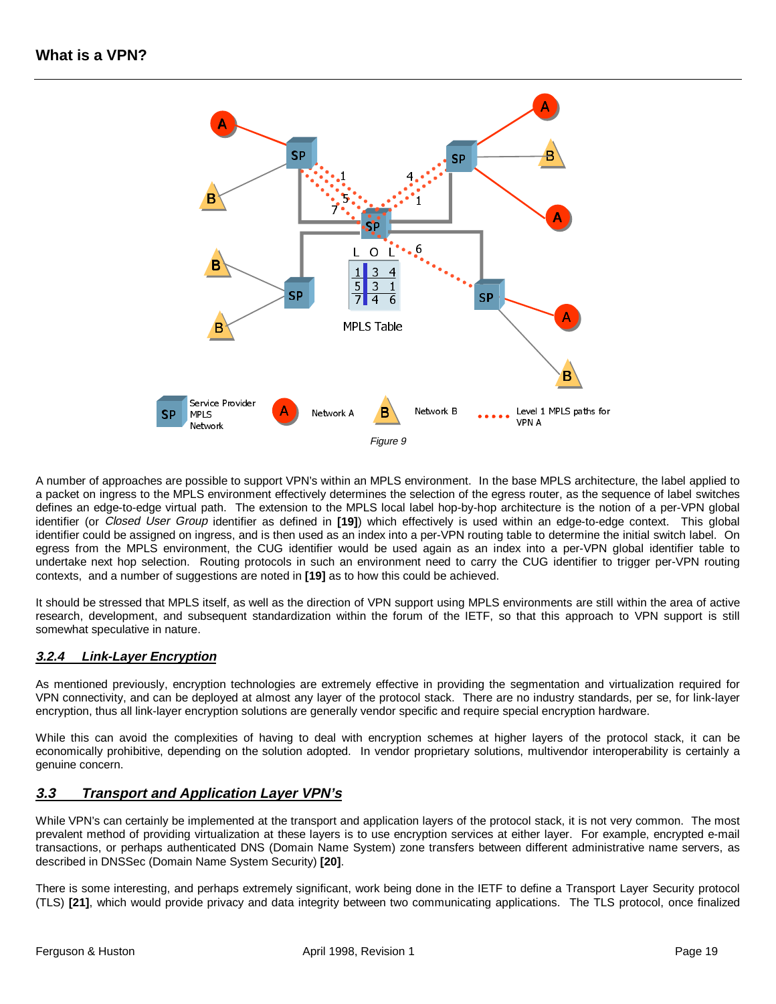

A number of approaches are possible to support VPN's within an MPLS environment. In the base MPLS architecture, the label applied to a packet on ingress to the MPLS environment effectively determines the selection of the egress router, as the sequence of label switches defines an edge-to-edge virtual path. The extension to the MPLS local label hop-by-hop architecture is the notion of a per-VPN global identifier (or Closed User Group identifier as defined in **[19]**) which effectively is used within an edge-to-edge context. This global identifier could be assigned on ingress, and is then used as an index into a per-VPN routing table to determine the initial switch label. On egress from the MPLS environment, the CUG identifier would be used again as an index into a per-VPN global identifier table to undertake next hop selection. Routing protocols in such an environment need to carry the CUG identifier to trigger per-VPN routing contexts, and a number of suggestions are noted in **[19]** as to how this could be achieved.

It should be stressed that MPLS itself, as well as the direction of VPN support using MPLS environments are still within the area of active research, development, and subsequent standardization within the forum of the IETF, so that this approach to VPN support is still somewhat speculative in nature.

## **3.2.4 Link-Layer Encryption**

As mentioned previously, encryption technologies are extremely effective in providing the segmentation and virtualization required for VPN connectivity, and can be deployed at almost any layer of the protocol stack. There are no industry standards, per se, for link-layer encryption, thus all link-layer encryption solutions are generally vendor specific and require special encryption hardware.

While this can avoid the complexities of having to deal with encryption schemes at higher layers of the protocol stack, it can be economically prohibitive, depending on the solution adopted. In vendor proprietary solutions, multivendor interoperability is certainly a genuine concern.

## **3.3 Transport and Application Layer VPN's**

While VPN's can certainly be implemented at the transport and application layers of the protocol stack, it is not very common. The most prevalent method of providing virtualization at these layers is to use encryption services at either layer. For example, encrypted e-mail transactions, or perhaps authenticated DNS (Domain Name System) zone transfers between different administrative name servers, as described in DNSSec (Domain Name System Security) **[20]**.

There is some interesting, and perhaps extremely significant, work being done in the IETF to define a Transport Layer Security protocol (TLS) **[21]**, which would provide privacy and data integrity between two communicating applications. The TLS protocol, once finalized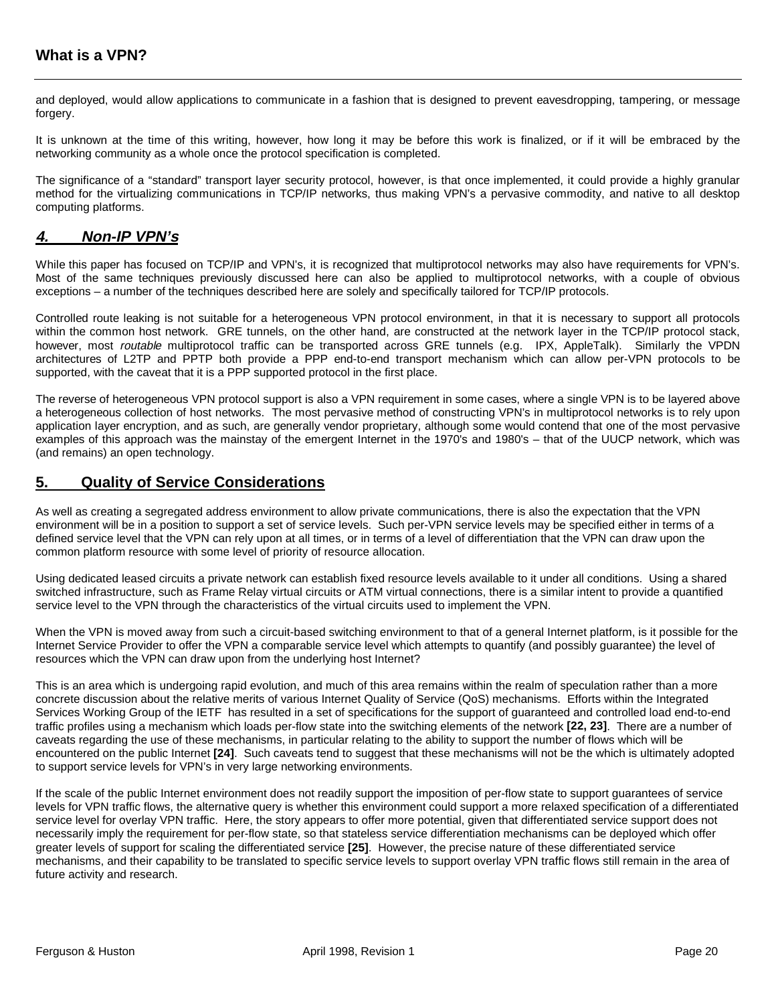and deployed, would allow applications to communicate in a fashion that is designed to prevent eavesdropping, tampering, or message forgery.

It is unknown at the time of this writing, however, how long it may be before this work is finalized, or if it will be embraced by the networking community as a whole once the protocol specification is completed.

The significance of a "standard" transport layer security protocol, however, is that once implemented, it could provide a highly granular method for the virtualizing communications in TCP/IP networks, thus making VPN's a pervasive commodity, and native to all desktop computing platforms.

## **4. Non-IP VPN's**

While this paper has focused on TCP/IP and VPN's, it is recognized that multiprotocol networks may also have requirements for VPN's. Most of the same techniques previously discussed here can also be applied to multiprotocol networks, with a couple of obvious exceptions – a number of the techniques described here are solely and specifically tailored for TCP/IP protocols.

Controlled route leaking is not suitable for a heterogeneous VPN protocol environment, in that it is necessary to support all protocols within the common host network. GRE tunnels, on the other hand, are constructed at the network layer in the TCP/IP protocol stack, however, most *routable* multiprotocol traffic can be transported across GRE tunnels (e.g. IPX, AppleTalk). Similarly the VPDN architectures of L2TP and PPTP both provide a PPP end-to-end transport mechanism which can allow per-VPN protocols to be supported, with the caveat that it is a PPP supported protocol in the first place.

The reverse of heterogeneous VPN protocol support is also a VPN requirement in some cases, where a single VPN is to be layered above a heterogeneous collection of host networks. The most pervasive method of constructing VPN's in multiprotocol networks is to rely upon application layer encryption, and as such, are generally vendor proprietary, although some would contend that one of the most pervasive examples of this approach was the mainstay of the emergent Internet in the 1970's and 1980's – that of the UUCP network, which was (and remains) an open technology.

# **5. Quality of Service Considerations**

As well as creating a segregated address environment to allow private communications, there is also the expectation that the VPN environment will be in a position to support a set of service levels. Such per-VPN service levels may be specified either in terms of a defined service level that the VPN can rely upon at all times, or in terms of a level of differentiation that the VPN can draw upon the common platform resource with some level of priority of resource allocation.

Using dedicated leased circuits a private network can establish fixed resource levels available to it under all conditions. Using a shared switched infrastructure, such as Frame Relay virtual circuits or ATM virtual connections, there is a similar intent to provide a quantified service level to the VPN through the characteristics of the virtual circuits used to implement the VPN.

When the VPN is moved away from such a circuit-based switching environment to that of a general Internet platform, is it possible for the Internet Service Provider to offer the VPN a comparable service level which attempts to quantify (and possibly guarantee) the level of resources which the VPN can draw upon from the underlying host Internet?

This is an area which is undergoing rapid evolution, and much of this area remains within the realm of speculation rather than a more concrete discussion about the relative merits of various Internet Quality of Service (QoS) mechanisms. Efforts within the Integrated Services Working Group of the IETF has resulted in a set of specifications for the support of guaranteed and controlled load end-to-end traffic profiles using a mechanism which loads per-flow state into the switching elements of the network **[22, 23]**. There are a number of caveats regarding the use of these mechanisms, in particular relating to the ability to support the number of flows which will be encountered on the public Internet **[24]**. Such caveats tend to suggest that these mechanisms will not be the which is ultimately adopted to support service levels for VPN's in very large networking environments.

If the scale of the public Internet environment does not readily support the imposition of per-flow state to support guarantees of service levels for VPN traffic flows, the alternative query is whether this environment could support a more relaxed specification of a differentiated service level for overlay VPN traffic. Here, the story appears to offer more potential, given that differentiated service support does not necessarily imply the requirement for per-flow state, so that stateless service differentiation mechanisms can be deployed which offer greater levels of support for scaling the differentiated service **[25]**. However, the precise nature of these differentiated service mechanisms, and their capability to be translated to specific service levels to support overlay VPN traffic flows still remain in the area of future activity and research.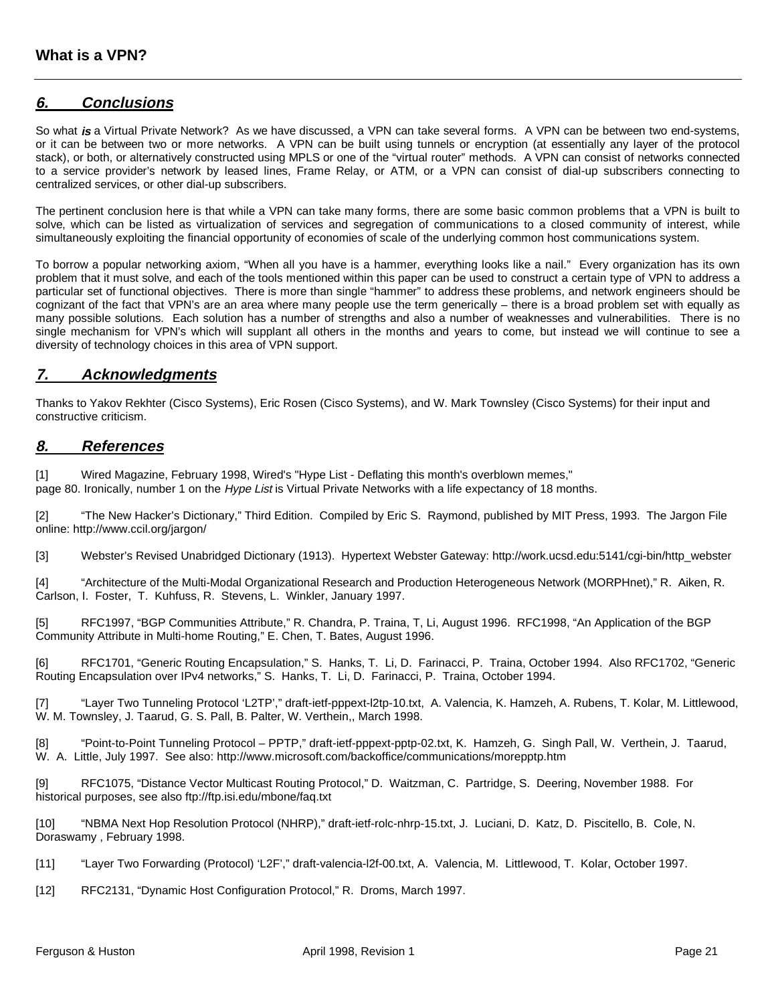## **6. Conclusions**

So what **is** a Virtual Private Network? As we have discussed, a VPN can take several forms. A VPN can be between two end-systems, or it can be between two or more networks. A VPN can be built using tunnels or encryption (at essentially any layer of the protocol stack), or both, or alternatively constructed using MPLS or one of the "virtual router" methods. A VPN can consist of networks connected to a service provider's network by leased lines, Frame Relay, or ATM, or a VPN can consist of dial-up subscribers connecting to centralized services, or other dial-up subscribers.

The pertinent conclusion here is that while a VPN can take many forms, there are some basic common problems that a VPN is built to solve, which can be listed as virtualization of services and segregation of communications to a closed community of interest, while simultaneously exploiting the financial opportunity of economies of scale of the underlying common host communications system.

To borrow a popular networking axiom, "When all you have is a hammer, everything looks like a nail." Every organization has its own problem that it must solve, and each of the tools mentioned within this paper can be used to construct a certain type of VPN to address a particular set of functional objectives. There is more than single "hammer" to address these problems, and network engineers should be cognizant of the fact that VPN's are an area where many people use the term generically – there is a broad problem set with equally as many possible solutions. Each solution has a number of strengths and also a number of weaknesses and vulnerabilities. There is no single mechanism for VPN's which will supplant all others in the months and years to come, but instead we will continue to see a diversity of technology choices in this area of VPN support.

## **7. Acknowledgments**

Thanks to Yakov Rekhter (Cisco Systems), Eric Rosen (Cisco Systems), and W. Mark Townsley (Cisco Systems) for their input and constructive criticism.

### **8. References**

[\[1\] Wired Magazine, February 1998, Wired's "Hype List - Deflating this month's overblown memes,"](http://www.wired.com/wired/6.02/hypelist.html) page 80. Ironically, number 1 on the Hype List is Virtual Private Networks with a life expectancy of 18 months.

[\[2\] "The New Hacker's Dictionary," Third Edition. Compiled by Eric S. Raymond, published by MIT Press, 1993. The Jargon File](http://www.ccil.org/jargon/) online: http://www.ccil.org/jargon/

[\[3\] Webster's Revised Unabridged Dictionary \(1913\). Hypertext Webster Gateway: http://work.ucsd.edu:5141/cgi-bin/http\\_webster](http://work.ucsd.edu:5141/cgi-bin/http_webster)

[\[4\] "Architecture of the Multi-Modal Organizational Research and Production Heterogeneous Network \(MORPHnet\)," R. Aiken, R.](http://www.anl.gov/ECT/Public/research/morphnet.html) Carlson, I. Foster, T. Kuhfuss, R. Stevens, L. Winkler, January 1997.

[\[5\] RFC1997, "BGP Communities Attribute," R. Chandra, P. Traina, T, Li, August 1996.](http://www.faqs.org/rfcs/rfc1997.html) [RFC1998, "An Application of the BGP](http://www.faqs.org/rfcs/rfc1998.html) [Community Attribute in Multi-home Routing," E. Chen, T. Bates, August 1996.](http://www.faqs.org/rfcs/rfc1998.html)

[\[6\] RFC1701, "Generic Routing Encapsulation," S. Hanks, T. Li, D. Farinacci, P. Traina, October 1994.](http://www.faqs.org/rfcs/rfc1701.html) [Also RFC1702, "Generic](http://www.faqs.org/rfcs/rfc1702.html) [Routing Encapsulation over IPv4 networks," S. Hanks, T. Li, D. Farinacci, P. Traina, October 1994.](http://www.faqs.org/rfcs/rfc1702.html)

[\[7\] "Layer Two Tunneling Protocol 'L2TP'," draft-ietf-pppext-l2tp-10.txt, A. Valencia, K. Hamzeh, A. Rubens, T. Kolar, M. Littlewood,](http://sunsite.cnlab-switch.ch/ftp/mirror/internet-drafts/draft-ietf-pppext-l2tp-10.txt) W. M. Townsley, J. Taarud, G. S. Pall, B. Palter, W. Verthein,, March 1998.

[\[8\] "Point-to-Point Tunneling Protocol – PPTP," draft-ietf-pppext-pptp-02.txt, K. Hamzeh, G. Singh Pall, W. Verthein, J. Taarud,](http://sunsite.cnlab-switch.ch/ftp/mirror/internet-drafts/draft-ietf-pppext-pptp-02.txt) [W. A. Little, July 1997.](http://sunsite.cnlab-switch.ch/ftp/mirror/internet-drafts/draft-ietf-pppext-pp2p-02.txt) See also:<http://www.microsoft.com/backoffice/communications/morepptp.htm>

[9] [RFC1075, "Distance Vector Multicast Routing Protocol," D. Waitzman, C. Partridge, S. Deering, November 1988.](http://www.faqs.org/rfcs/rfc1075.html) For historical purposes, see also<ftp://ftp.isi.edu/mbone/faq.txt>

[\[10\] "NBMA Next Hop Resolution Protocol \(NHRP\)," draft-ietf-rolc-nhrp-15.txt, J. Luciani, D. Katz, D. Piscitello, B. Cole, N.](http://sunsite.cnlab-switch.ch/ftp/mirror/internet-drafts/draft-ietf-rolc-nhrp-15.txt) Doraswamy , February 1998.

[\[11\] "Layer Two Forwarding \(Protocol\) 'L2F'," draft-valencia-l2f-00.txt, A. Valencia, M. Littlewood, T. Kolar, October 1997.](http://sunsite.cnlab-switch.ch/ftp/mirror/internet-drafts/draft-valencia-l2f-00.txt)

[12] [RFC2131, "Dynamic Host Configuration Protocol," R. Droms, March 1997.](http://www.faqs.org/rfcs/rfc2131.html)